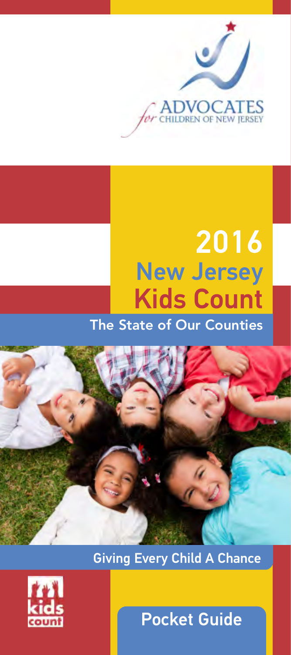

# 2016 New Jersey Kids Count The State of Our Counties



Giving Every Child A Chance



Pocket Guide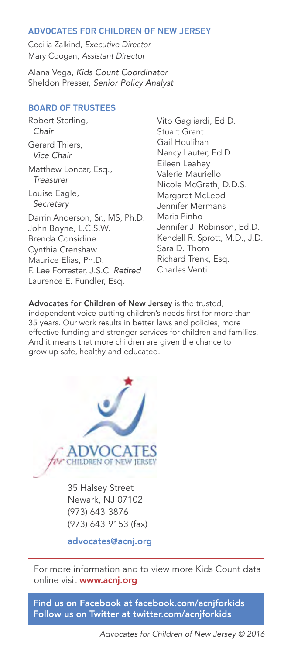#### ADVOCATES FOR CHILDREN OF NEW JERSEY

Cecilia Zalkind, Executive Director Mary Coogan, Assistant Director

Alana Vega, Kids Count Coordinator Sheldon Presser, Senior Policy Analyst

#### BOARD OF TRUSTEES

Robert Sterling, Chair Gerard Thiers, Vice Chair Matthew Loncar, Esq., **Treasurer** Louise Eagle, **Secretary** Darrin Anderson, Sr., MS, Ph.D. John Boyne, L.C.S.W. Brenda Considine Cynthia Crenshaw Maurice Elias, Ph.D. F. Lee Forrester, J.S.C. Retired Laurence E. Fundler, Esq.

Vito Gagliardi, Ed.D. Stuart Grant Gail Houlihan Nancy Lauter, Ed.D. Eileen Leahey Valerie Mauriello Nicole McGrath, D.D.S. Margaret McLeod Jennifer Mermans Maria Pinho Jennifer J. Robinson, Ed.D. Kendell R. Sprott, M.D., J.D. Sara D. Thom Richard Trenk, Esq. Charles Venti

Advocates for Children of New Jersey is the trusted, independent voice putting children's needs first for more than 35 years. Our work results in better laws and policies, more effective funding and stronger services for children and families. And it means that more children are given the chance to grow up safe, healthy and educated.



35 Halsey Street Newark, NJ 07102 (973) 643 3876 (973) 643 9153 (fax)

advocates@acnj.org

For more information and to view more Kids Count data online visit www.acnj.org

Find us on Facebook at facebook.com/acnjforkids Follow us on Twitter at twitter.com/acnjforkids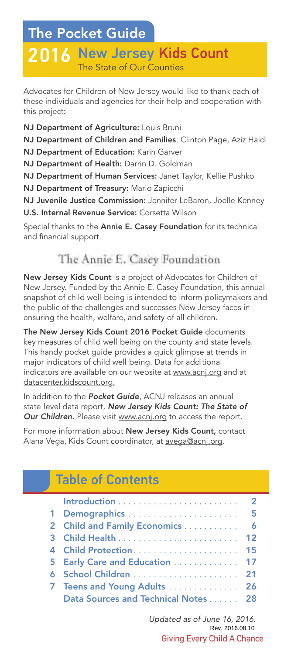# The Pocket Guide

# 2016 New Jersey Kids Count The State of Our Counties

Advocates for Children of New Jersey would like to thank each of these individuals and agencies for their help and cooperation with this project:

NJ Department of Agriculture: Louis Bruni

NJ Department of Children and Families: Clinton Page, Aziz Haidi

NJ Department of Education: Karin Garver

NJ Department of Health: Darrin D. Goldman

NJ Department of Human Services: Janet Taylor, Kellie Pushko

NJ Department of Treasury: Mario Zapicchi

NJ Juvenile Justice Commission: Jennifer LeBaron, Joelle Kenney U.S. Internal Revenue Service: Corsetta Wilson

Special thanks to the Annie E. Casey Foundation for its technical and financial support.

### The Annie E. Casey Foundation

New Jersey Kids Count is a project of Advocates for Children of New Jersey. Funded by the Annie E. Casey Foundation, this annual snapshot of child well being is intended to inform policymakers and the public of the challenges and successes New Jersey faces in ensuring the health, welfare, and safety of all children.

The New Jersey Kids Count 2016 Pocket Guide documents key measures of child well being on the county and state levels. This handy pocket guide provides a quick glimpse at trends in major indicators of child well being. Data for additional indicators are available on our website at www.acnj.org and at datacenter.kidscount.org.

In addition to the Pocket Guide, ACNJ releases an annual state level data report, New Jersey Kids Count: The State of Our Children. Please visit www.acnj.org to access the report.

For more information about New Jersey Kids Count, contact Alana Vega, Kids Count coordinator, at avega@acnj.org.

# Table of Contents

| 1 Demographics  5                   |  |
|-------------------------------------|--|
| 2 Child and Family Economics  6     |  |
|                                     |  |
|                                     |  |
| 5 Early Care and Education  17      |  |
|                                     |  |
| 7 Teens and Young Adults  26        |  |
| Data Sources and Technical Notes 28 |  |

Giving Every Child A Chance Updated as of June 16, 2016. Rev. 2016.08.10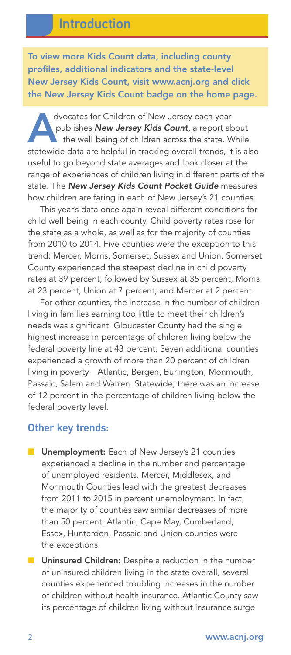To view more Kids Count data, including county profiles, additional indicators and the state-level New Jersey Kids Count, visit www.acnj.org and click the New Jersey Kids Count badge on the home page.

dvocates for Children of New Jersey each year<br>publishes **New Jersey Kids Count**, a report ab<br>the well being of children across the state. We<br>statewide data are helpful in tracking overall trends it publishes **New Jersey Kids Count**, a report about the well being of children across the state. While statewide data are helpful in tracking overall trends, it is also useful to go beyond state averages and look closer at the range of experiences of children living in different parts of the state. The New Jersey Kids Count Pocket Guide measures how children are faring in each of New Jersey's 21 counties.

This year's data once again reveal different conditions for child well being in each county. Child poverty rates rose for the state as a whole, as well as for the majority of counties from 2010 to 2014. Five counties were the exception to this trend: Mercer, Morris, Somerset, Sussex and Union. Somerset County experienced the steepest decline in child poverty rates at 39 percent, followed by Sussex at 35 percent, Morris at 23 percent, Union at 7 percent, and Mercer at 2 percent.

For other counties, the increase in the number of children living in families earning too little to meet their children's needs was significant. Gloucester County had the single highest increase in percentage of children living below the federal poverty line at 43 percent. Seven additional counties experienced a growth of more than 20 percent of children living in poverty Atlantic, Bergen, Burlington, Monmouth, Passaic, Salem and Warren. Statewide, there was an increase of 12 percent in the percentage of children living below the federal poverty level.

#### Other key trends:

- Unemployment: Each of New Jersey's 21 counties experienced a decline in the number and percentage of unemployed residents. Mercer, Middlesex, and Monmouth Counties lead with the greatest decreases from 2011 to 2015 in percent unemployment. In fact, the majority of counties saw similar decreases of more than 50 percent; Atlantic, Cape May, Cumberland, Essex, Hunterdon, Passaic and Union counties were the exceptions.
- Uninsured Children: Despite a reduction in the number of uninsured children living in the state overall, several counties experienced troubling increases in the number of children without health insurance. Atlantic County saw its percentage of children living without insurance surge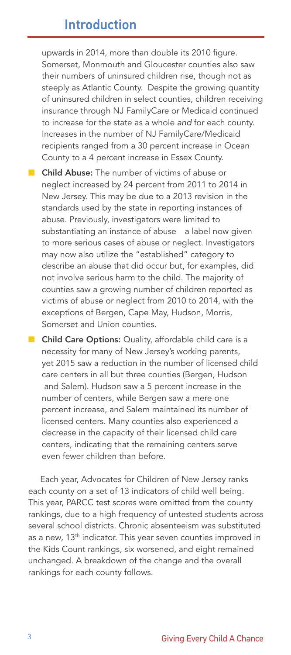upwards in 2014, more than double its 2010 figure. Somerset, Monmouth and Gloucester counties also saw their numbers of uninsured children rise, though not as steeply as Atlantic County. Despite the growing quantity of uninsured children in select counties, children receiving insurance through NJ FamilyCare or Medicaid continued to increase for the state as a whole and for each county. Increases in the number of NJ FamilyCare/Medicaid recipients ranged from a 30 percent increase in Ocean County to a 4 percent increase in Essex County.

- Child Abuse: The number of victims of abuse or neglect increased by 24 percent from 2011 to 2014 in New Jersey. This may be due to a 2013 revision in the standards used by the state in reporting instances of abuse. Previously, investigators were limited to substantiating an instance of abuse a label now given to more serious cases of abuse or neglect. Investigators may now also utilize the "established" category to describe an abuse that did occur but, for examples, did not involve serious harm to the child. The majority of counties saw a growing number of children reported as victims of abuse or neglect from 2010 to 2014, with the exceptions of Bergen, Cape May, Hudson, Morris, Somerset and Union counties.
- Child Care Options: Quality, affordable child care is a necessity for many of New Jersey's working parents, yet 2015 saw a reduction in the number of licensed child care centers in all but three counties (Bergen, Hudson and Salem). Hudson saw a 5 percent increase in the number of centers, while Bergen saw a mere one percent increase, and Salem maintained its number of licensed centers. Many counties also experienced a decrease in the capacity of their licensed child care centers, indicating that the remaining centers serve even fewer children than before.

Each year, Advocates for Children of New Jersey ranks each county on a set of 13 indicators of child well being. This year, PARCC test scores were omitted from the county rankings, due to a high frequency of untested students across several school districts. Chronic absenteeism was substituted as a new, 13<sup>th</sup> indicator. This year seven counties improved in the Kids Count rankings, six worsened, and eight remained unchanged. A breakdown of the change and the overall rankings for each county follows.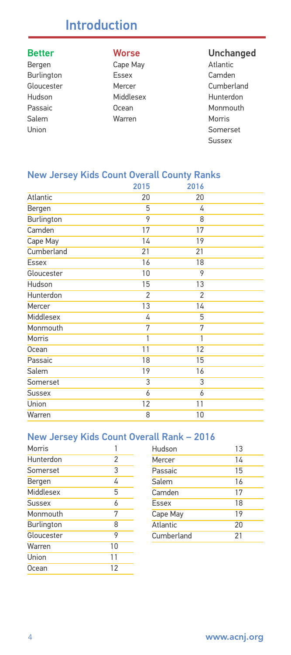# Introduction

- 
- Bergen Cape May Burlington Essex Camden Hudson Middlesex Hunterdon Salem Warren Morris
- 

# **Better Calcularies Corresponding Morse** Cape May **Cape May** Atlantic

Gloucester Mercer Mercer Cumberland Passaic **Community** Ocean **Monmouth** Union Somerset Sussex

#### New Jersey Kids Count Overall County Ranks

|               | 2015           | 2016           |  |
|---------------|----------------|----------------|--|
| Atlantic      | 20             | 20             |  |
| Bergen        | 5              | 4              |  |
| Burlington    | 9              | 8              |  |
| Camden        | 17             | 17             |  |
| Cape May      | 14             | 19             |  |
| Cumberland    | 21             | 21             |  |
| <b>Essex</b>  | 16             | 18             |  |
| Gloucester    | 10             | 9              |  |
| Hudson        | 15             | 13             |  |
| Hunterdon     | $\overline{2}$ | $\overline{2}$ |  |
| Mercer        | 13             | 14             |  |
| Middlesex     | 4              | 5              |  |
| Monmouth      | 7              | 7              |  |
| Morris        | 1              | 1              |  |
| Ocean         | 11             | 12             |  |
| Passaic       | 18             | 15             |  |
| Salem         | 19             | 16             |  |
| Somerset      | 3              | 3              |  |
| <b>Sussex</b> | 6              | 6              |  |
| Union         | 12             | 11             |  |
| Warren        | 8              | 10             |  |

#### New Jersey Kids Count Overall Rank – 2016

| Morris        | 1  |
|---------------|----|
| Hunterdon     | 2  |
| Somerset      | 3  |
| Bergen        | 4  |
| Middlesex     | 5  |
| <b>Sussex</b> | 6  |
| Monmouth      | 7  |
| Burlington    | 8  |
| Gloucester    | 9  |
| Warren        | 10 |
| Union         | 11 |
| Ocean         | 12 |
|               |    |

| Hudson     | 13 |
|------------|----|
| Mercer     | 14 |
| Passaic    | 15 |
| Salem      | 16 |
| Camden     | 17 |
| Essex      | 18 |
| Cape May   | 19 |
| Atlantic   | 20 |
| Cumberland | 21 |
|            |    |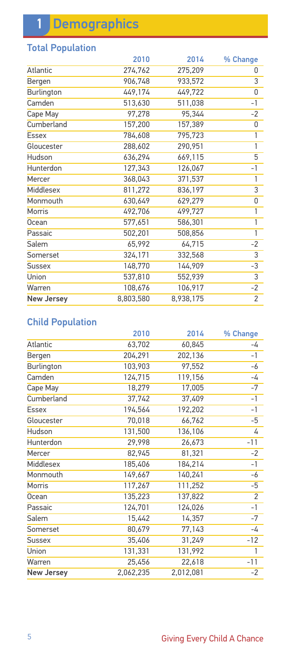# 1 Demographics

### Total Population

|                   | 2010      | 2014      | % Change       |
|-------------------|-----------|-----------|----------------|
| Atlantic          | 274,762   | 275,209   | 0              |
| Bergen            | 906,748   | 933,572   | 3              |
| Burlington        | 449,174   | 449,722   | 0              |
| Camden            | 513,630   | 511,038   | $-1$           |
| Cape May          | 97,278    | 95.344    | $-2$           |
| Cumberland        | 157,200   | 157,389   | 0              |
| <b>Essex</b>      | 784,608   | 795,723   | 1              |
| Gloucester        | 288,602   | 290,951   | 1              |
| Hudson            | 636,294   | 669,115   | 5              |
| Hunterdon         | 127,343   | 126,067   | $-1$           |
| Mercer            | 368,043   | 371,537   | 1              |
| Middlesex         | 811,272   | 836,197   | 3              |
| Monmouth          | 630,649   | 629,279   | 0              |
| Morris            | 492,706   | 499,727   | 1              |
| Ocean             | 577,651   | 586,301   | $\overline{1}$ |
| Passaic           | 502,201   | 508,856   | 1              |
| Salem             | 65,992    | 64,715    | $-2$           |
| Somerset          | 324,171   | 332,568   | $\overline{3}$ |
| <b>Sussex</b>     | 148,770   | 144,909   | -3             |
| Union             | 537,810   | 552,939   | 3              |
| Warren            | 108,676   | 106,917   | $-2$           |
| <b>New Jersey</b> | 8,803,580 | 8,938,175 | $\overline{2}$ |

### Child Population

|                   | 2010      | 2014      | % Change       |
|-------------------|-----------|-----------|----------------|
| Atlantic          | 63,702    | 60,845    | -4             |
| Bergen            | 204,291   | 202,136   | $-1$           |
| Burlington        | 103,903   | 97,552    | -6             |
| Camden            | 124,715   | 119,156   | -4             |
| Cape May          | 18,279    | 17,005    | $-7$           |
| Cumberland        | 37,742    | 37,409    | $-1$           |
| <b>Essex</b>      | 194,564   | 192,202   | $-1$           |
| Gloucester        | 70,018    | 66,762    | -5             |
| Hudson            | 131,500   | 136,106   | 4              |
| Hunterdon         | 29,998    | 26,673    | $-11$          |
| Mercer            | 82,945    | 81,321    | $-2$           |
| Middlesex         | 185,406   | 184,214   | $-1$           |
| Monmouth          | 149,667   | 140,241   | -6             |
| Morris            | 117,267   | 111,252   | -5             |
| Ocean             | 135,223   | 137,822   | $\overline{2}$ |
| Passaic           | 124,701   | 124,026   | $-1$           |
| Salem             | 15,442    | 14,357    | $-7$           |
| Somerset          | 80,679    | 77,143    | -4             |
| <b>Sussex</b>     | 35,406    | 31,249    | $-12$          |
| Union             | 131,331   | 131,992   | 1              |
| Warren            | 25,456    | 22,618    | $-11$          |
| <b>New Jersey</b> | 2,062,235 | 2,012,081 | $-2$           |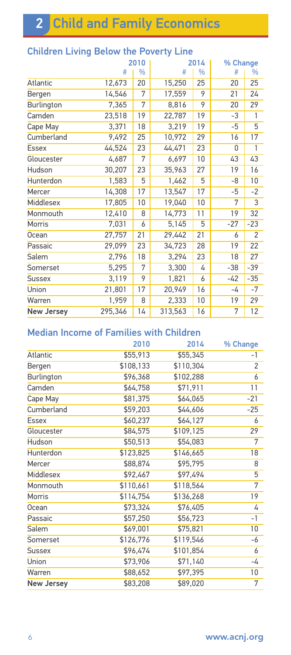|                   |         | 2010          |         | 2014          | % Change |                |
|-------------------|---------|---------------|---------|---------------|----------|----------------|
|                   | #       | $\frac{0}{0}$ | #       | $\frac{0}{0}$ | #        | %              |
| Atlantic          | 12,673  | 20            | 15,250  | 25            | 20       | 25             |
| Bergen            | 14,546  | 7             | 17,559  | 9             | 21       | 24             |
| Burlington        | 7,365   | 7             | 8,816   | 9             | 20       | 29             |
| Camden            | 23,518  | 19            | 22,787  | 19            | -3       | 1              |
| Cape May          | 3,371   | 18            | 3,219   | 19            | -5       | 5              |
| Cumberland        | 9,492   | 25            | 10,972  | 29            | 16       | 17             |
| <b>Essex</b>      | 44,524  | 23            | 44,471  | 23            | 0        | 1              |
| Gloucester        | 4,687   | 7             | 6,697   | 10            | 43       | 43             |
| Hudson            | 30,207  | 23            | 35,963  | 27            | 19       | 16             |
| Hunterdon         | 1,583   | 5             | 1,462   | 5             | -8       | 10             |
| Mercer            | 14,308  | 17            | 13,547  | 17            | -5       | $-2$           |
| Middlesex         | 17,805  | 10            | 19,040  | 10            | 7        | 3              |
| Monmouth          | 12,410  | 8             | 14,773  | 11            | 19       | 32             |
| Morris            | 7,031   | 6             | 5,145   | 5             | $-27$    | $-23$          |
| Ocean             | 27,757  | 21            | 29,442  | 21            | 6        | $\overline{2}$ |
| Passaic           | 29,099  | 23            | 34,723  | 28            | 19       | 22             |
| Salem             | 2,796   | 18            | 3,294   | 23            | 18       | 27             |
| Somerset          | 5,295   | 7             | 3,300   | 4             | $-38$    | $-39$          |
| <b>Sussex</b>     | 3,119   | 9             | 1,821   | 6             | -42      | $-35$          |
| Union             | 21,801  | 17            | 20,949  | 16            | -4       | $-7$           |
| Warren            | 1,959   | 8             | 2,333   | 10            | 19       | 29             |
| <b>New Jersey</b> | 295,346 | 14            | 313,563 | 16            | 7        | 12             |

### Children Living Below the Poverty Line

### Median Income of Families with Children

|                   | 2010      | 2014      | % Change |
|-------------------|-----------|-----------|----------|
| Atlantic          | \$55,913  | \$55,345  | -1       |
| Bergen            | \$108,133 | \$110,304 | 2        |
| Burlington        | \$96,368  | \$102,288 | 6        |
| Camden            | \$64,758  | \$71,911  | 11       |
| Cape May          | \$81,375  | \$64,065  | $-21$    |
| Cumberland        | \$59,203  | \$44,606  | $-25$    |
| <b>Essex</b>      | \$60,237  | \$64,127  | 6        |
| Gloucester        | \$84,575  | \$109,125 | 29       |
| Hudson            | \$50,513  | \$54,083  | 7        |
| Hunterdon         | \$123,825 | \$146,665 | 18       |
| Mercer            | \$88,874  | \$95,795  | 8        |
| Middlesex         | \$92,467  | \$97,494  | 5        |
| Monmouth          | \$110,661 | \$118,564 | 7        |
| Morris            | \$114,754 | \$136,268 | 19       |
| Ocean             | \$73,324  | \$76,405  | 4        |
| Passaic           | \$57,250  | \$56,723  | $-1$     |
| Salem             | \$69,001  | \$75,821  | 10       |
| Somerset          | \$126,776 | \$119,546 | -6       |
| <b>Sussex</b>     | \$96,474  | \$101,854 | 6        |
| Union             | \$73,906  | \$71,140  | -4       |
| Warren            | \$88,652  | \$97,395  | 10       |
| <b>New Jersey</b> | \$83,208  | \$89,020  | 7        |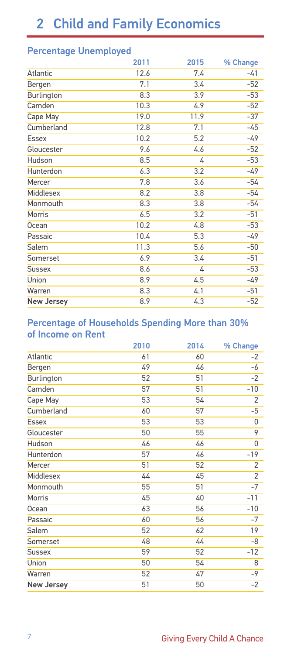### Percentage Unemployed

| 2011 | 2015 | % Change |
|------|------|----------|
| 12.6 | 7.4  | $-41$    |
| 7.1  | 3.4  | $-52$    |
| 8.3  | 3.9  | $-53$    |
| 10.3 | 4.9  | $-52$    |
| 19.0 | 11.9 | $-37$    |
| 12.8 | 7.1  | -45      |
| 10.2 | 5.2  | $-49$    |
| 9.6  | 4.6  | $-52$    |
| 8.5  | 4    | $-53$    |
| 6.3  | 3.2  | $-49$    |
| 7.8  | 3.6  | $-54$    |
| 8.2  | 3.8  | -54      |
| 8.3  | 3.8  | -54      |
| 6.5  | 3.2  | $-51$    |
| 10.2 | 4.8  | $-53$    |
| 10.4 | 5.3  | -49      |
| 11.3 | 5.6  | $-50$    |
| 6.9  | 3.4  | $-51$    |
| 8.6  | 4    | $-53$    |
| 8.9  | 4.5  | -49      |
| 8.3  | 4.1  | $-51$    |
| 8.9  | 4.3  | $-52$    |
|      |      |          |

#### Percentage of Households Spending More than 30% of Income on Rent

|                   | 2010 | 2014 | % Change       |
|-------------------|------|------|----------------|
| Atlantic          | 61   | 60   | $-2$           |
| Bergen            | 49   | 46   | -6             |
| Burlington        | 52   | 51   | $-2$           |
| Camden            | 57   | 51   | $-10$          |
| Cape May          | 53   | 54   | $\overline{2}$ |
| Cumberland        | 60   | 57   | -5             |
| <b>Essex</b>      | 53   | 53   | 0              |
| Gloucester        | 50   | 55   | 9              |
| Hudson            | 46   | 46   | 0              |
| Hunterdon         | 57   | 46   | $-19$          |
| Mercer            | 51   | 52   | $\overline{2}$ |
| Middlesex         | 44   | 45   | $\overline{2}$ |
| Monmouth          | 55   | 51   | $-7$           |
| Morris            | 45   | 40   | $-11$          |
| <b>Ocean</b>      | 63   | 56   | $-10$          |
| Passaic           | 60   | 56   | -7             |
| Salem             | 52   | 62   | 19             |
| Somerset          | 48   | 44   | -8             |
| <b>Sussex</b>     | 59   | 52   | $-12$          |
| Union             | 50   | 54   | 8              |
| Warren            | 52   | 47   | $-9$           |
| <b>New Jersey</b> | 51   | 50   | $-2$           |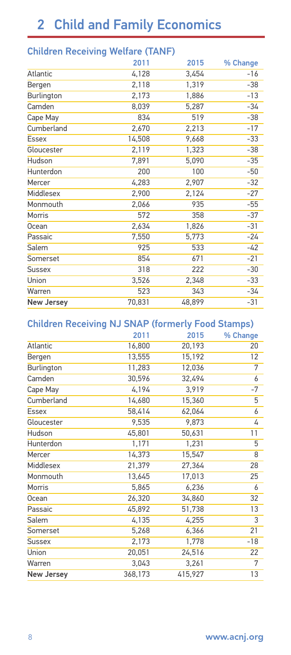|  | <b>Children Receiving Welfare (TANF)</b> |  |  |
|--|------------------------------------------|--|--|
|--|------------------------------------------|--|--|

|                   | 2011   | 2015   | % Change |
|-------------------|--------|--------|----------|
| Atlantic          | 4,128  | 3,454  | $-16$    |
| Bergen            | 2,118  | 1,319  | $-38$    |
| Burlington        | 2,173  | 1,886  | $-13$    |
| Camden            | 8,039  | 5,287  | -34      |
| Cape May          | 834    | 519    | $-38$    |
| Cumberland        | 2,670  | 2,213  | $-17$    |
| <b>Essex</b>      | 14,508 | 9,668  | $-33$    |
| Gloucester        | 2,119  | 1,323  | $-38$    |
| Hudson            | 7,891  | 5,090  | $-35$    |
| Hunterdon         | 200    | 100    | $-50$    |
| Mercer            | 4,283  | 2,907  | $-32$    |
| Middlesex         | 2,900  | 2,124  | $-27$    |
| Monmouth          | 2,066  | 935    | $-55$    |
| Morris            | 572    | 358    | $-37$    |
| Ocean             | 2,634  | 1,826  | $-31$    |
| Passaic           | 7,550  | 5,773  | -24      |
| Salem             | 925    | 533    | -42      |
| Somerset          | 854    | 671    | $-21$    |
| <b>Sussex</b>     | 318    | 222    | $-30$    |
| Union             | 3,526  | 2,348  | $-33$    |
| Warren            | 523    | 343    | -34      |
| <b>New Jersey</b> | 70,831 | 48,899 | $-31$    |

#### Children Receiving NJ SNAP (formerly Food Stamps)

|                   | 2011    | 2015    | % Change |
|-------------------|---------|---------|----------|
| Atlantic          | 16,800  | 20,193  | 20       |
| Bergen            | 13,555  | 15,192  | 12       |
| Burlington        | 11,283  | 12,036  | 7        |
| Camden            | 30,596  | 32,494  | 6        |
| Cape May          | 4,194   | 3,919   | $-7$     |
| Cumberland        | 14,680  | 15,360  | 5        |
| <b>Essex</b>      | 58,414  | 62,064  | 6        |
| Gloucester        | 9,535   | 9,873   | 4        |
| Hudson            | 45,801  | 50,631  | 11       |
| Hunterdon         | 1,171   | 1,231   | 5        |
| Mercer            | 14,373  | 15,547  | 8        |
| Middlesex         | 21,379  | 27,364  | 28       |
| Monmouth          | 13,645  | 17,013  | 25       |
| <b>Morris</b>     | 5,865   | 6,236   | 6        |
| Ocean             | 26,320  | 34,860  | 32       |
| Passaic           | 45,892  | 51,738  | 13       |
| Salem             | 4,135   | 4,255   | 3        |
| Somerset          | 5,268   | 6,366   | 21       |
| Sussex            | 2,173   | 1,778   | $-18$    |
| Union             | 20,051  | 24,516  | 22       |
| Warren            | 3,043   | 3,261   | 7        |
| <b>New Jersey</b> | 368,173 | 415,927 | 13       |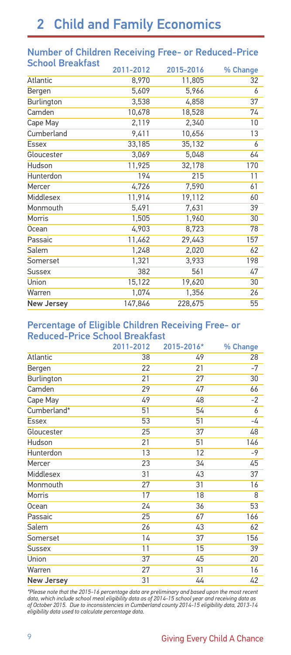| Juliout Di cantabl | 2011-2012 | 2015-2016 | % Change |
|--------------------|-----------|-----------|----------|
| Atlantic           | 8,970     | 11,805    | 32       |
| Bergen             | 5,609     | 5,966     | 6        |
| Burlington         | 3,538     | 4,858     | 37       |
| Camden             | 10,678    | 18,528    | 74       |
| Cape May           | 2,119     | 2,340     | 10       |
| Cumberland         | 9,411     | 10,656    | 13       |
| <b>Essex</b>       | 33,185    | 35,132    | 6        |
| Gloucester         | 3,069     | 5,048     | 64       |
| Hudson             | 11,925    | 32,178    | 170      |
| Hunterdon          | 194       | 215       | 11       |
| Mercer             | 4,726     | 7,590     | 61       |
| Middlesex          | 11,914    | 19,112    | 60       |
| Monmouth           | 5,491     | 7,631     | 39       |
| <b>Morris</b>      | 1,505     | 1,960     | 30       |
| <b>Ocean</b>       | 4,903     | 8,723     | 78       |
| Passaic            | 11,462    | 29,443    | 157      |
| Salem              | 1,248     | 2,020     | 62       |
| Somerset           | 1,321     | 3,933     | 198      |
| <b>Sussex</b>      | 382       | 561       | 47       |
| Union              | 15,122    | 19,620    | 30       |
| Warren             | 1,074     | 1,356     | 26       |
| <b>New Jersey</b>  | 147,846   | 228,675   | 55       |
|                    |           |           |          |

#### Number of Children Receiving Free- or Reduced-Price School Breakfast

#### Percentage of Eligible Children Receiving Free- or Reduced-Price School Breakfast

|                   | 2011-2012 | 2015-2016* | % Change |
|-------------------|-----------|------------|----------|
| Atlantic          | 38        | 49         | 28       |
| Bergen            | 22        | 21         | $-7$     |
| Burlington        | 21        | 27         | 30       |
| Camden            | 29        | 47         | 66       |
| Cape May          | 49        | 48         | $-2$     |
| Cumberland*       | 51        | 54         | 6        |
| <b>Essex</b>      | 53        | 51         | -4       |
| Gloucester        | 25        | 37         | 48       |
| Hudson            | 21        | 51         | 146      |
| Hunterdon         | 13        | 12         | $-9$     |
| Mercer            | 23        | 34         | 45       |
| Middlesex         | 31        | 43         | 37       |
| Monmouth          | 27        | 31         | 16       |
| Morris            | 17        | 18         | 8        |
| Ocean             | 24        | 36         | 53       |
| Passaic           | 25        | 67         | 166      |
| Salem             | 26        | 43         | 62       |
| Somerset          | 14        | 37         | 156      |
| <b>Sussex</b>     | 11        | 15         | 39       |
| Union             | 37        | 45         | 20       |
| Warren            | 27        | 31         | 16       |
| <b>New Jersey</b> | 31        | 44         | 42       |

*\*Please note that the 2015-16 percentage data are preliminary and based upon the most recent data, which include school meal eligibility data as of 2014-15 school year and receiving data as of October 2015. Due to inconsistencies in Cumberland county 2014-15 eligibility data, 2013-14 eligibility data used to calculate percentage data.*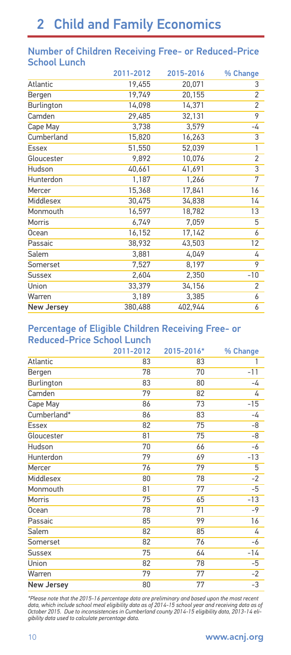#### Number of Children Receiving Free- or Reduced-Price School Lunch

|                   | 2011-2012 | 2015-2016 | % Change       |
|-------------------|-----------|-----------|----------------|
| Atlantic          | 19,455    | 20,071    | 3              |
| Bergen            | 19,749    | 20,155    | $\overline{2}$ |
| Burlington        | 14,098    | 14,371    | $\overline{2}$ |
| Camden            | 29,485    | 32,131    | 9              |
| Cape May          | 3,738     | 3,579     | -4             |
| Cumberland        | 15,820    | 16,263    | 3              |
| <b>Essex</b>      | 51,550    | 52,039    | 1              |
| Gloucester        | 9,892     | 10,076    | $\overline{2}$ |
| Hudson            | 40,661    | 41,691    | $\overline{3}$ |
| Hunterdon         | 1,187     | 1,266     | 7              |
| Mercer            | 15,368    | 17,841    | 16             |
| Middlesex         | 30,475    | 34,838    | 14             |
| Monmouth          | 16,597    | 18,782    | 13             |
| Morris            | 6,749     | 7,059     | 5              |
| Ocean             | 16,152    | 17,142    | 6              |
| Passaic           | 38,932    | 43,503    | 12             |
| Salem             | 3,881     | 4,049     | 4              |
| Somerset          | 7,527     | 8,197     | 9              |
| Sussex            | 2,604     | 2,350     | $-10$          |
| Union             | 33,379    | 34,156    | 2              |
| Warren            | 3,189     | 3,385     | 6              |
| <b>New Jersey</b> | 380,488   | 402,944   | 6              |

#### Percentage of Eligible Children Receiving Free- or Reduced-Price School Lunch

|                   | 2011-2012 | 2015-2016* | % Change |
|-------------------|-----------|------------|----------|
| Atlantic          | 83        | 83         | 1        |
| Bergen            | 78        | 70         | $-11$    |
| Burlington        | 83        | 80         | -4       |
| Camden            | 79        | 82         | 4        |
| Cape May          | 86        | 73         | $-15$    |
| Cumberland*       | 86        | 83         | -4       |
| Essex             | 82        | 75         | -8       |
| Gloucester        | 81        | 75         | -8       |
| Hudson            | 70        | 66         | -6       |
| Hunterdon         | 79        | 69         | $-13$    |
| Mercer            | 76        | 79         | 5        |
| Middlesex         | 80        | 78         | $-2$     |
| Monmouth          | 81        | 77         | $-5$     |
| Morris            | 75        | 65         | $-13$    |
| Ocean             | 78        | 71         | $-9$     |
| Passaic           | 85        | 99         | 16       |
| Salem             | 82        | 85         | 4        |
| Somerset          | 82        | 76         | -6       |
| Sussex            | 75        | 64         | $-14$    |
| Union             | 82        | 78         | -5       |
| Warren            | 79        | 77         | $-2$     |
| <b>New Jersey</b> | 80        | 77         | $-3$     |

*\*Please note that the 2015-16 percentage data are preliminary and based upon the most recent* data, which include school meal eligibility data as of 2014-15 school year and receiving data as of<br>October 2015. Due to inconsistencies in Cumberland county 2014-15 eligibility data, 2013-14 eli-<br>gibility data used to cal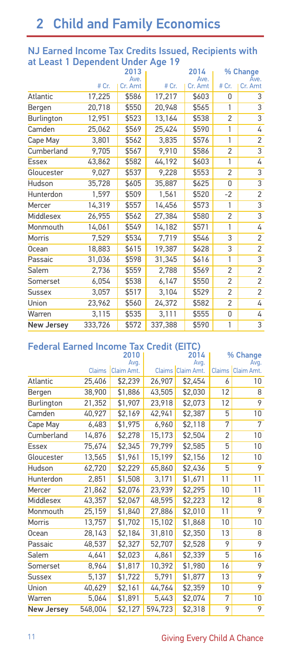#### NJ Earned Income Tax Credits Issued, Recipients with at Least 1 Dependent Under Age 19

|                   |         | 2013            |         | 2014            |                | % Change        |
|-------------------|---------|-----------------|---------|-----------------|----------------|-----------------|
|                   | # Cr.   | Ave.<br>Cr. Amt | # Cr.   | Ave.<br>Cr. Amt | # Cr.          | Ave.<br>Cr. Amt |
| Atlantic          | 17,225  | \$586           | 17,217  | \$603           | 0              | 3               |
|                   |         |                 |         |                 |                |                 |
| Bergen            | 20,718  | \$550           | 20,948  | \$565           | 1              | 3               |
| Burlington        | 12,951  | \$523           | 13,164  | \$538           | $\overline{2}$ | 3               |
| Camden            | 25,062  | \$569           | 25,424  | \$590           | 1              | 4               |
| Cape May          | 3,801   | \$562           | 3,835   | \$576           | 1              | 2               |
| Cumberland        | 9,705   | \$567           | 9,910   | \$586           | $\overline{2}$ | 3               |
| <b>Essex</b>      | 43,862  | \$582           | 44,192  | \$603           | 1              | 4               |
| Gloucester        | 9,027   | \$537           | 9,228   | \$553           | $\overline{2}$ | 3               |
| Hudson            | 35,728  | \$605           | 35,887  | \$625           | 0              | 3               |
| Hunterdon         | 1,597   | \$509           | 1,561   | \$520           | $-2$           | 2               |
| Mercer            | 14,319  | \$557           | 14,456  | \$573           | 1              | 3               |
| Middlesex         | 26,955  | \$562           | 27,384  | \$580           | 2              | 3               |
| Monmouth          | 14,061  | \$549           | 14,182  | \$571           | 1              | 4               |
| Morris            | 7,529   | \$534           | 7,719   | \$546           | 3              | 2               |
| Ocean             | 18,883  | \$615           | 19,387  | \$628           | 3              | 2               |
| Passaic           | 31,036  | \$598           | 31,345  | \$616           | 1              | $\overline{3}$  |
| Salem             | 2,736   | \$559           | 2,788   | \$569           | $\overline{2}$ | $\overline{2}$  |
| Somerset          | 6,054   | \$538           | 6,147   | \$550           | $\overline{2}$ | 2               |
| <b>Sussex</b>     | 3,057   | \$517           | 3,104   | \$529           | $\overline{2}$ | 2               |
| Union             | 23,962  | \$560           | 24,372  | \$582           | $\overline{c}$ | 4               |
| Warren            | 3,115   | \$535           | 3,111   | \$555           | 0              | 4               |
| <b>New Jersey</b> | 333,726 | \$572           | 337,388 | \$590           | 1              | $\overline{3}$  |

### Federal Earned Income Tax Credit (EITC)

|                   |               | 2010               |         | 2014                      |                | % Change                    |
|-------------------|---------------|--------------------|---------|---------------------------|----------------|-----------------------------|
|                   | <b>Claims</b> | Avg.<br>Claim Amt. |         | Avg.<br>Claims Claim Amt. |                | Avg.<br>Claims   Claim Amt. |
|                   |               |                    |         |                           |                |                             |
| Atlantic          | 25,406        | \$2,239            | 26,907  | \$2,454                   | 6              | 10                          |
| Bergen            | 38,900        | \$1,886            | 43,505  | \$2,030                   | 12             | 8                           |
| Burlington        | 21,352        | \$1,907            | 23,918  | \$2,073                   | 12             | 9                           |
| Camden            | 40,927        | \$2,169            | 42,941  | \$2,387                   | 5              | 10                          |
| Cape May          | 6,483         | \$1,975            | 6,960   | \$2,118                   | 7              | 7                           |
| Cumberland        | 14,876        | \$2,278            | 15,173  | \$2,504                   | $\overline{2}$ | 10                          |
| <b>Essex</b>      | 75,674        | \$2,345            | 79,799  | \$2,585                   | 5              | 10                          |
| Gloucester        | 13,565        | \$1,961            | 15,199  | \$2,156                   | 12             | 10                          |
| Hudson            | 62,720        | \$2,229            | 65,860  | \$2,436                   | 5              | 9                           |
| Hunterdon         | 2,851         | \$1,508            | 3,171   | \$1,671                   | 11             | 11                          |
| Mercer            | 21,862        | \$2,076            | 23,939  | \$2,295                   | 10             | 11                          |
| Middlesex         | 43,357        | \$2,067            | 48,595  | \$2,223                   | 12             | 8                           |
| Monmouth          | 25,159        | \$1,840            | 27,886  | \$2,010                   | 11             | 9                           |
| Morris            | 13,757        | \$1,702            | 15,102  | \$1,868                   | 10             | 10                          |
| Ocean             | 28,143        | \$2,184            | 31,810  | \$2,350                   | 13             | 8                           |
| Passaic           | 48,537        | \$2,327            | 52,707  | \$2,528                   | 9              | 9                           |
| Salem             | 4,641         | \$2,023            | 4,861   | \$2,339                   | 5              | 16                          |
| Somerset          | 8,964         | \$1,817            | 10,392  | \$1,980                   | 16             | 9                           |
| <b>Sussex</b>     | 5,137         | \$1,722            | 5,791   | \$1,877                   | 13             | 9                           |
| Union             | 40,629        | \$2,161            | 44,764  | \$2,359                   | 10             | 9                           |
| Warren            | 5,064         | \$1,891            | 5,443   | \$2,074                   | 7              | 10                          |
| <b>New Jersey</b> | 548,004       | \$2,127            | 594,723 | \$2,318                   | 9              | 9                           |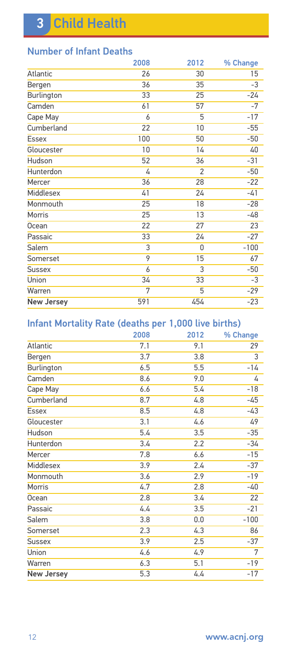| 2008 | 2012           | % Change |
|------|----------------|----------|
| 26   | 30             | 15       |
| 36   | 35             | $-3$     |
| 33   | 25             | $-24$    |
| 61   | 57             | $-7$     |
| 6    | 5              | $-17$    |
| 22   | 10             | $-55$    |
| 100  | 50             | $-50$    |
| 10   | 14             | 40       |
| 52   | 36             | $-31$    |
| 4    | $\mathfrak{p}$ | $-50$    |
| 36   | 28             | $-22$    |
| 41   | 24             | $-41$    |
| 25   | 18             | $-28$    |
| 25   | 13             | -48      |
| 22   | 27             | 23       |
| 33   | 24             | $-27$    |
| 3    | 0              | $-100$   |
| 9    | 15             | 67       |
| 6    | 3              | $-50$    |
| 34   | 33             | -3       |
| 7    | 5              | $-29$    |
| 591  | 454            | $-23$    |
|      |                |          |

### Number of Infant Deaths

### Infant Mortality Rate (deaths per 1,000 live births)

|                   | 2008 | 2012 | % Change |
|-------------------|------|------|----------|
| Atlantic          | 7.1  | 9.1  | 29       |
| Bergen            | 3.7  | 3.8  | 3        |
| Burlington        | 6.5  | 5.5  | $-14$    |
| Camden            | 8.6  | 9.0  | 4        |
| Cape May          | 6.6  | 5.4  | $-18$    |
| Cumberland        | 8.7  | 4.8  | -45      |
| <b>Essex</b>      | 8.5  | 4.8  | $-43$    |
| Gloucester        | 3.1  | 4.6  | 49       |
| Hudson            | 5.4  | 3.5  | $-35$    |
| Hunterdon         | 3.4  | 2.2  | $-34$    |
| Mercer            | 7.8  | 6.6  | $-15$    |
| Middlesex         | 3.9  | 2.4  | $-37$    |
| Monmouth          | 3.6  | 2.9  | $-19$    |
| Morris            | 4.7  | 2.8  | $-40$    |
| Ocean             | 2.8  | 3.4  | 22       |
| Passaic           | 4.4  | 3.5  | $-21$    |
| Salem             | 3.8  | 0.0  | $-100$   |
| Somerset          | 2.3  | 4.3  | 86       |
| Sussex            | 3.9  | 2.5  | $-37$    |
| Union             | 4.6  | 4.9  | 7        |
| Warren            | 6.3  | 5.1  | $-19$    |
| <b>New Jersey</b> | 5.3  | 4.4  | -17      |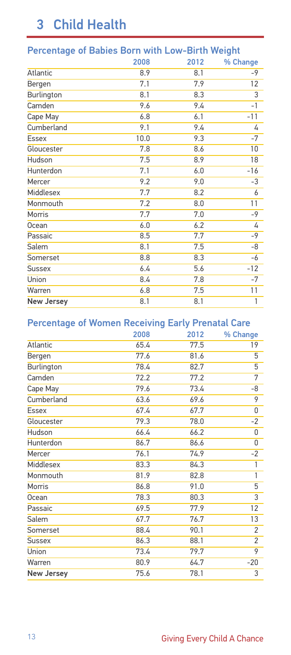# 3 Child Health

| Percentage of Bables Born with Low-Birth Weight |      |      |                |  |  |
|-------------------------------------------------|------|------|----------------|--|--|
|                                                 | 2008 | 2012 | % Change       |  |  |
| Atlantic                                        | 8.9  | 8.1  | $-9$           |  |  |
| Bergen                                          | 7.1  | 7.9  | 12             |  |  |
| Burlington                                      | 8.1  | 8.3  | $\overline{3}$ |  |  |
| Camden                                          | 9.6  | 9.4  | $-1$           |  |  |
| Cape May                                        | 6.8  | 6.1  | $-11$          |  |  |
| Cumberland                                      | 9.1  | 9.4  | 4              |  |  |
| Essex                                           | 10.0 | 9.3  | $-7$           |  |  |
| Gloucester                                      | 7.8  | 8.6  | 10             |  |  |
| Hudson                                          | 7.5  | 8.9  | 18             |  |  |
| Hunterdon                                       | 7.1  | 6.0  | $-16$          |  |  |
| Mercer                                          | 9.2  | 9.0  | -3             |  |  |
| Middlesex                                       | 7.7  | 8.2  | 6              |  |  |
| Monmouth                                        | 7.2  | 8.0  | 11             |  |  |
| Morris                                          | 7.7  | 7.0  | $-9$           |  |  |
| Ocean                                           | 6.0  | 6.2  | 4              |  |  |
| Passaic                                         | 8.5  | 7.7  | $-9$           |  |  |
| Salem                                           | 8.1  | 7.5  | -8             |  |  |
| Somerset                                        | 8.8  | 8.3  | -6             |  |  |
| <b>Sussex</b>                                   | 6.4  | 5.6  | $-12$          |  |  |
| Union                                           | 8.4  | 7.8  | $-7$           |  |  |
| Warren                                          | 6.8  | 7.5  | 11             |  |  |
| <b>New Jersey</b>                               | 8.1  | 8.1  | 1              |  |  |
|                                                 |      |      |                |  |  |

### Percentage of Babies Born with Low-Birth Weight

#### Percentage of Women Receiving Early Prenatal Care

|                   |      | _____ |                |
|-------------------|------|-------|----------------|
|                   | 2008 | 2012  | % Change       |
| Atlantic          | 65.4 | 77.5  | 19             |
| Bergen            | 77.6 | 81.6  | 5              |
| Burlington        | 78.4 | 82.7  | 5              |
| Camden            | 72.2 | 77.2  | 7              |
| Cape May          | 79.6 | 73.4  | -8             |
| Cumberland        | 63.6 | 69.6  | 9              |
| <b>Essex</b>      | 67.4 | 67.7  | 0              |
| Gloucester        | 79.3 | 78.0  | $-2$           |
| Hudson            | 66.4 | 66.2  | 0              |
| Hunterdon         | 86.7 | 86.6  | 0              |
| Mercer            | 76.1 | 74.9  | $-2$           |
| Middlesex         | 83.3 | 84.3  | 1              |
| Monmouth          | 81.9 | 82.8  | 1              |
| Morris            | 86.8 | 91.0  | 5              |
| <b>Ocean</b>      | 78.3 | 80.3  | $\overline{3}$ |
| Passaic           | 69.5 | 77.9  | 12             |
| Salem             | 67.7 | 76.7  | 13             |
| Somerset          | 88.4 | 90.1  | 2              |
| <b>Sussex</b>     | 86.3 | 88.1  | 2              |
| Union             | 73.4 | 79.7  | 9              |
| Warren            | 80.9 | 64.7  | $-20$          |
| <b>New Jersey</b> | 75.6 | 78.1  | 3              |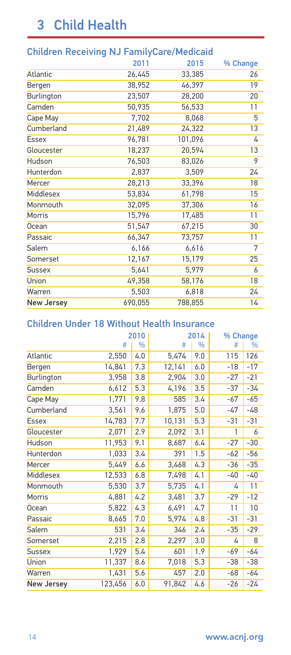# 3 Child Health

|                   | Children Receiving NJ FamilyCare/Medicald |         |          |  |  |  |
|-------------------|-------------------------------------------|---------|----------|--|--|--|
|                   | 2011                                      | 2015    | % Change |  |  |  |
| Atlantic          | 26,445                                    | 33,385  | 26       |  |  |  |
| Bergen            | 38,952                                    | 46,397  | 19       |  |  |  |
| Burlington        | 23,507                                    | 28,200  | 20       |  |  |  |
| Camden            | 50,935                                    | 56,533  | 11       |  |  |  |
| Cape May          | 7,702                                     | 8,068   | 5        |  |  |  |
| Cumberland        | 21,489                                    | 24,322  | 13       |  |  |  |
| <b>Essex</b>      | 96,781                                    | 101,096 | 4        |  |  |  |
| Gloucester        | 18,237                                    | 20,594  | 13       |  |  |  |
| Hudson            | 76,503                                    | 83,026  | 9        |  |  |  |
| Hunterdon         | 2,837                                     | 3,509   | 24       |  |  |  |
| Mercer            | 28,213                                    | 33,396  | 18       |  |  |  |
| Middlesex         | 53,834                                    | 61,798  | 15       |  |  |  |
| Monmouth          | 32,095                                    | 37,306  | 16       |  |  |  |
| Morris            | 15,796                                    | 17,485  | 11       |  |  |  |
| Ocean             | 51,547                                    | 67,215  | 30       |  |  |  |
| Passaic           | 66,347                                    | 73,757  | 11       |  |  |  |
| Salem             | 6,166                                     | 6,616   | 7        |  |  |  |
| Somerset          | 12,167                                    | 15,179  | 25       |  |  |  |
| <b>Sussex</b>     | 5,641                                     | 5,979   | 6        |  |  |  |
| <b>Union</b>      | 49,358                                    | 58,176  | 18       |  |  |  |
| Warren            | 5,503                                     | 6,818   | 24       |  |  |  |
| <b>New Jersey</b> | 690,055                                   | 788,855 | 14       |  |  |  |
|                   |                                           |         |          |  |  |  |

### Children Receiving NJ FamilyCare/Medicaid

#### Children Under 18 Without Health Insurance

|                   |         | 2010<br>2014 |        |               | % Change |       |
|-------------------|---------|--------------|--------|---------------|----------|-------|
|                   | #       | %            | #      | $\frac{0}{0}$ | #        | %     |
| Atlantic          | 2,550   | 4.0          | 5,474  | 9.0           | 115      | 126   |
| Bergen            | 14,841  | 7.3          | 12,141 | 6.0           | $-18$    | $-17$ |
| Burlington        | 3,958   | 3.8          | 2,904  | 3.0           | $-27$    | $-21$ |
| Camden            | 6,612   | 5.3          | 4,196  | 3.5           | $-37$    | $-34$ |
| Cape May          | 1,771   | 9.8          | 585    | 3.4           | -67      | $-65$ |
| Cumberland        | 3,561   | 9.6          | 1,875  | 5.0           | -47      | -48   |
| <b>Essex</b>      | 14,783  | 7.7          | 10,131 | 5.3           | $-31$    | $-31$ |
| Gloucester        | 2,071   | 2.9          | 2,092  | 3.1           | 1        | 6     |
| Hudson            | 11,953  | 9.1          | 8,687  | 6.4           | $-27$    | $-30$ |
| Hunterdon         | 1,033   | 3.4          | 391    | 1.5           | $-62$    | $-56$ |
| Mercer            | 5,449   | 6.6          | 3,468  | 4.3           | $-36$    | $-35$ |
| Middlesex         | 12,533  | 6.8          | 7,498  | 4.1           | $-40$    | -40   |
| Monmouth          | 5,530   | 3.7          | 5,735  | 4.1           | 4        | 11    |
| Morris            | 4,881   | 4.2          | 3,481  | 3.7           | $-29$    | $-12$ |
| Ocean             | 5,822   | 4.3          | 6,491  | 4.7           | 11       | 10    |
| Passaic           | 8,665   | 7.0          | 5,974  | 4.8           | $-31$    | $-31$ |
| Salem             | 531     | 3.4          | 346    | 2.4           | $-35$    | $-29$ |
| Somerset          | 2,215   | 2.8          | 2,297  | 3.0           | 4        | 8     |
| <b>Sussex</b>     | 1,929   | 5.4          | 601    | 1.9           | -69      | -64   |
| Union             | 11,337  | 8.6          | 7,018  | 5.3           | $-38$    | $-38$ |
| Warren            | 1,431   | 5.6          | 457    | 2.0           | $-68$    | -64   |
| <b>New Jersey</b> | 123,456 | 6.0          | 91,842 | 4.6           | $-26$    | $-24$ |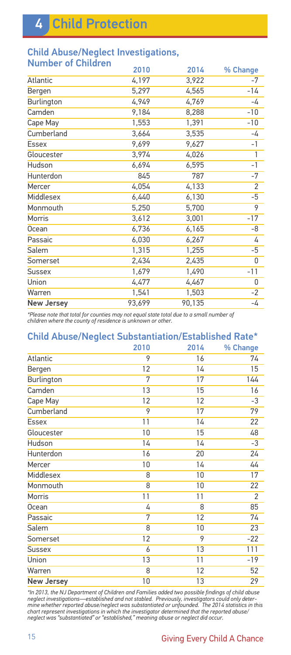# 4 Child Protection

#### Child Abuse/Neglect Investigations, Number of Children

| <b>INGITION OF CHILDREN</b> | 2010   | 2014   | % Change       |
|-----------------------------|--------|--------|----------------|
| <b>Atlantic</b>             | 4,197  | 3,922  | -7             |
| Bergen                      | 5,297  | 4,565  | $-14$          |
| Burlington                  | 4,949  | 4,769  | -4             |
| Camden                      | 9,184  | 8,288  | $-10$          |
| Cape May                    | 1,553  | 1,391  | $-10$          |
| Cumberland                  | 3,664  | 3,535  | -4             |
| <b>Essex</b>                | 9,699  | 9,627  | $-1$           |
| Gloucester                  | 3,974  | 4,026  | 1              |
| <b>Hudson</b>               | 6,694  | 6,595  | $-1$           |
| Hunterdon                   | 845    | 787    | $-7$           |
| Mercer                      | 4,054  | 4,133  | $\overline{2}$ |
| Middlesex                   | 6,440  | 6,130  | $-5$           |
| Monmouth                    | 5,250  | 5,700  | 9              |
| Morris                      | 3,612  | 3,001  | $-17$          |
| <b>Ocean</b>                | 6,736  | 6,165  | -8             |
| Passaic                     | 6,030  | 6,267  | 4              |
| Salem                       | 1,315  | 1,255  | -5             |
| Somerset                    | 2,434  | 2,435  | 0              |
| <b>Sussex</b>               | 1,679  | 1,490  | $-11$          |
| Union                       | 4,477  | 4,467  | 0              |
| Warren                      | 1,541  | 1,503  | $-2$           |
| <b>New Jersey</b>           | 93,699 | 90,135 | -4             |
|                             |        |        |                |

*\*Please note that total for counties may not equal state total due to a small number of children where the county of residence is unknown or other.*

| <b>Child Abuse/Neglect Substantiation/Established Rate*</b> |      |      |                |  |  |
|-------------------------------------------------------------|------|------|----------------|--|--|
|                                                             | 2010 | 2014 | % Change       |  |  |
| Atlantic                                                    | 9    | 16   | 74             |  |  |
| Bergen                                                      | 12   | 14   | 15             |  |  |
| Burlington                                                  | 7    | 17   | 144            |  |  |
| Camden                                                      | 13   | 15   | 16             |  |  |
| Cape May                                                    | 12   | 12   | $-3$           |  |  |
| Cumberland                                                  | 9    | 17   | 79             |  |  |
| Essex                                                       | 11   | 14   | 22             |  |  |
| Gloucester                                                  | 10   | 15   | 48             |  |  |
| Hudson                                                      | 14   | 14   | -3             |  |  |
| Hunterdon                                                   | 16   | 20   | 24             |  |  |
| Mercer                                                      | 10   | 14   | 44             |  |  |
| Middlesex                                                   | 8    | 10   | 17             |  |  |
| Monmouth                                                    | 8    | 10   | 22             |  |  |
| Morris                                                      | 11   | 11   | $\overline{2}$ |  |  |
| Ocean                                                       | 4    | 8    | 85             |  |  |
| Passaic                                                     | 7    | 12   | 74             |  |  |
| Salem                                                       | 8    | 10   | 23             |  |  |
| Somerset                                                    | 12   | 9    | $-22$          |  |  |
| <b>Sussex</b>                                               | 6    | 13   | 111            |  |  |
| Union                                                       | 13   | 11   | $-19$          |  |  |
| Warren                                                      | 8    | 12   | 52             |  |  |
| <b>New Jersey</b>                                           | 10   | 13   | 29             |  |  |

\*In 2013, the NJ Department of Children and Families added two possible findings of child abuse<br>neglect investigations—established and not stabled. Previously, investigators could only deter-<br>mine whether reported abuse/ne *neglect was "substantiated" or "established," meaning abuse or neglect did occur.*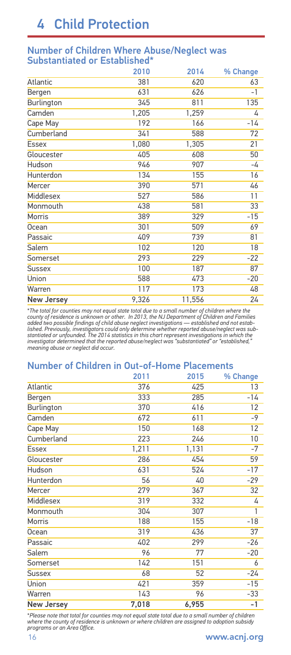# 4 Child Protection

#### Number of Children Where Abuse/Neglect was Substantiated or Established\*

|                   | 2010  | 2014   | % Change |
|-------------------|-------|--------|----------|
| Atlantic          | 381   | 620    | 63       |
| Bergen            | 631   | 626    | $-1$     |
| <b>Burlington</b> | 345   | 811    | 135      |
| Camden            | 1,205 | 1,259  | 4        |
| Cape May          | 192   | 166    | $-14$    |
| Cumberland        | 341   | 588    | 72       |
| <b>Essex</b>      | 1,080 | 1,305  | 21       |
| Gloucester        | 405   | 608    | 50       |
| Hudson            | 946   | 907    | -4       |
| Hunterdon         | 134   | 155    | 16       |
| Mercer            | 390   | 571    | 46       |
| <b>Middlesex</b>  | 527   | 586    | 11       |
| Monmouth          | 438   | 581    | 33       |
| Morris            | 389   | 329    | $-15$    |
| <b>Ocean</b>      | 301   | 509    | 69       |
| Passaic           | 409   | 739    | 81       |
| Salem             | 102   | 120    | 18       |
| Somerset          | 293   | 229    | $-22$    |
| <b>Sussex</b>     | 100   | 187    | 87       |
| Union             | 588   | 473    | $-20$    |
| Warren            | 117   | 173    | 48       |
| <b>New Jersey</b> | 9,326 | 11,556 | 24       |
|                   |       |        |          |

\*The total for counties may not equal state total due to a small number of children where the<br>county of residence is unknown or other. In 2013, the NJ Department of Children and Families<br>added two possible findings of chi lished. Previously, investigators could only determine whether reported abuse/neglect was sub-<br>stantiated or unfounded. The 2014 statistics in this chart represent investigations in which the<br>investigator determined that t

#### Number of Children in Out-of-Home Placements

|                   | 2011  | 2015  | % Change |
|-------------------|-------|-------|----------|
| <b>Atlantic</b>   | 376   | 425   | 13       |
| Bergen            | 333   | 285   | $-14$    |
| Burlington        | 370   | 416   | 12       |
| Camden            | 672   | 611   | $-9$     |
| Cape May          | 150   | 168   | 12       |
| Cumberland        | 223   | 246   | 10       |
| <b>Essex</b>      | 1,211 | 1,131 | $-7$     |
| Gloucester        | 286   | 454   | 59       |
| Hudson            | 631   | 524   | $-17$    |
| Hunterdon         | 56    | 40    | $-29$    |
| Mercer            | 279   | 367   | 32       |
| Middlesex         | 319   | 332   | 4        |
| Monmouth          | 304   | 307   | 1        |
| Morris            | 188   | 155   | $-18$    |
| Ocean             | 319   | 436   | 37       |
| Passaic           | 402   | 299   | $-26$    |
| Salem             | 96    | 77    | $-20$    |
| Somerset          | 142   | 151   | 6        |
| <b>Sussex</b>     | 68    | 52    | $-24$    |
| Union             | 421   | 359   | $-15$    |
| Warren            | 143   | 96    | $-33$    |
| <b>New Jersey</b> | 7,018 | 6,955 | $-1$     |

\**Please note that total for counties may not equal state total due to a small number of children where the county of residence is unknown or where children are assigned to adoption subsidy programs or an Area Office.*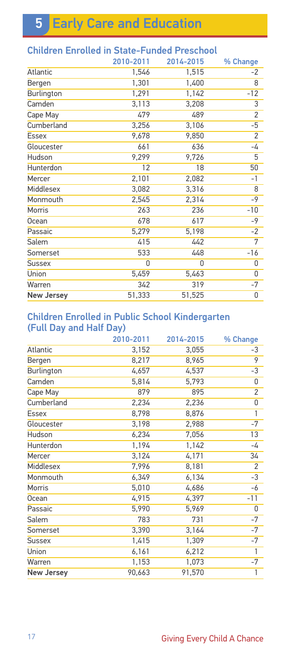**5 Early Care and Education** 

| CHINICH EIN ONGU IN SIGLE-FUNGGU FTESCHOOL |           |           |                |
|--------------------------------------------|-----------|-----------|----------------|
|                                            | 2010-2011 | 2014-2015 | % Change       |
| Atlantic                                   | 1,546     | 1,515     | -2             |
| Bergen                                     | 1,301     | 1,400     | 8              |
| Burlington                                 | 1,291     | 1,142     | $-12$          |
| Camden                                     | 3,113     | 3,208     | 3              |
| Cape May                                   | 479       | 489       | $\overline{2}$ |
| Cumberland                                 | 3,256     | 3,106     | $-5$           |
| <b>Essex</b>                               | 9,678     | 9,850     | $\overline{2}$ |
| Gloucester                                 | 661       | 636       | -4             |
| Hudson                                     | 9,299     | 9,726     | 5              |
| Hunterdon                                  | 12        | 18        | 50             |
| Mercer                                     | 2,101     | 2,082     | $-1$           |
| Middlesex                                  | 3,082     | 3,316     | 8              |
| Monmouth                                   | 2,545     | 2,314     | $-9$           |
| Morris                                     | 263       | 236       | $-10$          |
| <b>Ocean</b>                               | 678       | 617       | -9             |
| Passaic                                    | 5,279     | 5,198     | $-2$           |
| Salem                                      | 415       | 442       | 7              |
| Somerset                                   | 533       | 448       | $-16$          |
| <b>Sussex</b>                              | 0         | 0         | 0              |
| Union                                      | 5,459     | 5,463     | 0              |
| Warren                                     | 342       | 319       | -7             |
| <b>New Jersey</b>                          | 51,333    | 51,525    | 0              |

### Children Enrolled in State-Funded Preschool

#### Children Enrolled in Public School Kindergarten (Full Day and Half Day)

|                   | 2010-2011 | 2014-2015 | % Change       |
|-------------------|-----------|-----------|----------------|
| Atlantic          | 3,152     | 3,055     | -3             |
| Bergen            | 8,217     | 8,965     | 9              |
| Burlington        | 4,657     | 4,537     | -3             |
| Camden            | 5,814     | 5,793     | 0              |
| Cape May          | 879       | 895       | 2              |
| Cumberland        | 2,234     | 2,236     | 0              |
| <b>Essex</b>      | 8,798     | 8,876     | 1              |
| Gloucester        | 3,198     | 2,988     | $-7$           |
| Hudson            | 6,234     | 7,056     | 13             |
| Hunterdon         | 1,194     | 1,142     | -4             |
| Mercer            | 3,124     | 4,171     | 34             |
| Middlesex         | 7,996     | 8,181     | $\overline{2}$ |
| Monmouth          | 6,349     | 6,134     | -3             |
| Morris            | 5,010     | 4,686     | -6             |
| <b>Ocean</b>      | 4,915     | 4,397     | $-11$          |
| Passaic           | 5,990     | 5,969     | 0              |
| Salem             | 783       | 731       | $-7$           |
| Somerset          | 3,390     | 3,164     | $-7$           |
| <b>Sussex</b>     | 1,415     | 1,309     | $-7$           |
| Union             | 6,161     | 6,212     | 1              |
| Warren            | 1,153     | 1,073     | $-7$           |
| <b>New Jersey</b> | 90,663    | 91,570    | 1              |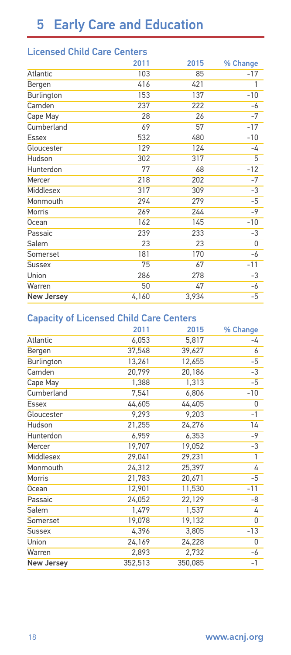### Licensed Child Care Centers

|                   | 2011  | 2015  | % Change |
|-------------------|-------|-------|----------|
| Atlantic          | 103   | 85    | $-17$    |
| Bergen            | 416   | 421   | 1        |
| Burlington        | 153   | 137   | $-10$    |
| Camden            | 237   | 222   | -6       |
| Cape May          | 28    | 26    | $-7$     |
| Cumberland        | 69    | 57    | $-17$    |
| <b>Essex</b>      | 532   | 480   | $-10$    |
| Gloucester        | 129   | 124   | -4       |
| Hudson            | 302   | 317   | 5        |
| Hunterdon         | 77    | 68    | $-12$    |
| Mercer            | 218   | 202   | $-7$     |
| Middlesex         | 317   | 309   | $-3$     |
| Monmouth          | 294   | 279   | $-5$     |
| <b>Morris</b>     | 269   | 244   | $-9$     |
| <b>Ocean</b>      | 162   | 145   | $-10$    |
| Passaic           | 239   | 233   | -3       |
| Salem             | 23    | 23    | 0        |
| Somerset          | 181   | 170   | -6       |
| <b>Sussex</b>     | 75    | 67    | $-11$    |
| Union             | 286   | 278   | -3       |
| Warren            | 50    | 47    | -6       |
| <b>New Jersey</b> | 4,160 | 3,934 | -5       |

#### Capacity of Licensed Child Care Centers

|                   | 2011    | 2015    | % Change |
|-------------------|---------|---------|----------|
| Atlantic          | 6,053   | 5,817   | -4       |
| Bergen            | 37,548  | 39,627  | 6        |
| Burlington        | 13,261  | 12,655  | -5       |
| Camden            | 20,799  | 20,186  | -3       |
| Cape May          | 1,388   | 1,313   | -5       |
| Cumberland        | 7,541   | 6,806   | $-10$    |
| <b>Essex</b>      | 44,605  | 44,405  | 0        |
| Gloucester        | 9,293   | 9,203   | $-1$     |
| Hudson            | 21,255  | 24,276  | 14       |
| Hunterdon         | 6,959   | 6,353   | -9       |
| Mercer            | 19,707  | 19,052  | -3       |
| Middlesex         | 29,041  | 29,231  | 1        |
| Monmouth          | 24,312  | 25,397  | 4        |
| Morris            | 21,783  | 20,671  | -5       |
| Ocean             | 12,901  | 11,530  | $-11$    |
| Passaic           | 24,052  | 22,129  | -8       |
| Salem             | 1,479   | 1,537   | 4        |
| Somerset          | 19,078  | 19,132  | 0        |
| <b>Sussex</b>     | 4,396   | 3,805   | $-13$    |
| Union             | 24,169  | 24,228  | 0        |
| Warren            | 2,893   | 2,732   | -6       |
| <b>New Jersey</b> | 352,513 | 350,085 | -1       |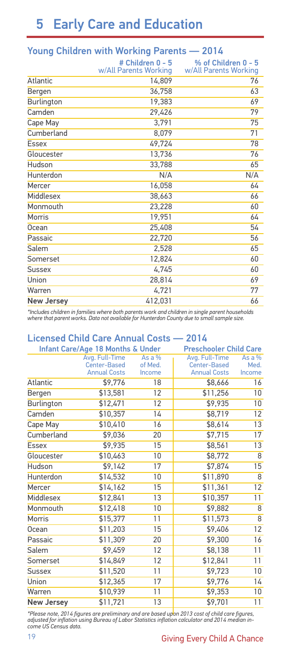# 5 Early Care and Education

|                   | # Children 0 - 5<br>w/All Parents Working | % of Children 0 - 5<br>w/All Parents Working |
|-------------------|-------------------------------------------|----------------------------------------------|
| Atlantic          | 14,809                                    | 76                                           |
| Bergen            | 36,758                                    | 63                                           |
| Burlington        | 19,383                                    | 69                                           |
| Camden            | 29,426                                    | 79                                           |
| Cape May          | 3,791                                     | 75                                           |
| Cumberland        | 8,079                                     | 71                                           |
| Essex             | 49,724                                    | 78                                           |
| Gloucester        | 13,736                                    | 76                                           |
| Hudson            | 33,788                                    | 65                                           |
| Hunterdon         | N/A                                       | N/A                                          |
| Mercer            | 16,058                                    | 64                                           |
| Middlesex         | 38,663                                    | 66                                           |
| Monmouth          | 23,228                                    | 60                                           |
| Morris            | 19,951                                    | 64                                           |
| Ocean             | 25,408                                    | 54                                           |
| Passaic           | 22,720                                    | 56                                           |
| Salem             | 2,528                                     | 65                                           |
| Somerset          | 12,824                                    | 60                                           |
| Sussex            | 4,745                                     | 60                                           |
| Union             | 28,814                                    | 69                                           |
| Warren            | 4,721                                     | 77                                           |
| <b>New Jersey</b> | 412,031                                   | 66                                           |

#### Young Children with Working Parents — 2014

*\*Includes children in families where both parents work and children in single parent households where that parent works. Data not available for Hunterdon County due to small sample size.*

#### Licensed Child Care Annual Costs — 2014

|                   | Infant Care/Age 18 Months & Under |          | <b>Preschooler Child Care</b> |                 |
|-------------------|-----------------------------------|----------|-------------------------------|-----------------|
|                   | Avg. Full-Time                    | As a $%$ | Avg. Full-Time                | As a $%$        |
|                   | Center-Based                      | of Med.  | Center-Based                  | Med.            |
|                   | <b>Annual Costs</b>               | Income   | <b>Annual Costs</b>           | Income          |
| Atlantic          | \$9,776                           | 18       | \$8,666                       | 16              |
| Bergen            | \$13,581                          | 12       | \$11,256                      | 10 <sup>1</sup> |
| Burlington        | \$12,471                          | 12       | \$9,935                       | 10              |
| Camden            | \$10,357                          | 14       | \$8,719                       | 12              |
| Cape May          | \$10,410                          | 16       | \$8,614                       | 13              |
| Cumberland        | \$9,036                           | 20       | \$7,715                       | 17              |
| Essex             | \$9,935                           | 15       | \$8,561                       | 13              |
| Gloucester        | \$10,463                          | 10       | \$8,772                       | 8               |
| Hudson            | \$9,142                           | 17       | \$7,874                       | 15              |
| Hunterdon         | \$14,532                          | 10       | \$11,890                      | 8               |
| Mercer            | \$14,162                          | 15       | \$11,361                      | 12              |
| Middlesex         | \$12,841                          | 13       | \$10,357                      | 11              |
| Monmouth          | \$12,418                          | 10       | \$9,882                       | 8               |
| Morris            | \$15,377                          | 11       | \$11,573                      | 8               |
| Ocean             | \$11,203                          | 15       | \$9,406                       | 12              |
| Passaic           | \$11,309                          | 20       | \$9,300                       | 16              |
| Salem             | \$9,459                           | 12       | \$8,138                       | 11              |
| Somerset          | \$14,849                          | 12       | \$12,841                      | 11              |
| <b>Sussex</b>     | \$11,520                          | 11       | \$9,723                       | 10              |
| Union             | \$12,365                          | 17       | \$9,776                       | 14              |
| Warren            | \$10,939                          | 11       | \$9,353                       | 10              |
| <b>New Jersey</b> | \$11,721                          | 13       | \$9,701                       | 11              |

*\*Please note, 2014 figures are preliminary and are based upon 2013 cost of child care figures, adjusted for inflation using Bureau of Labor Statistics inflation calculator and 2014 median in-come US Census data.*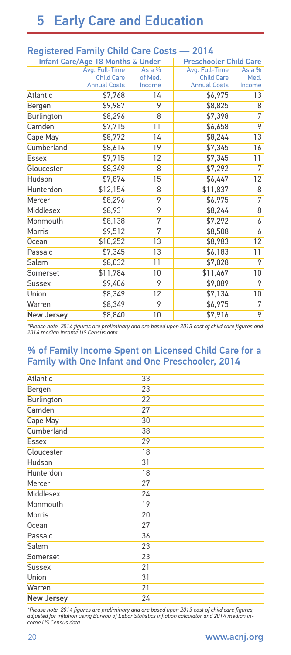# 5 Early Care and Education

|                   | Registered Farmly United Care Costs |          | ---                           |                |
|-------------------|-------------------------------------|----------|-------------------------------|----------------|
|                   | Infant Care/Age 18 Months & Under   |          | <b>Preschooler Child Care</b> |                |
|                   | Avg. Full-Time                      | As a $%$ | Avg. Full-Time                | As a $%$       |
|                   | <b>Child Care</b>                   | of Med.  | <b>Child Care</b>             | Med.           |
|                   | <b>Annual Costs</b>                 | Income   | <b>Annual Costs</b>           | Income         |
| <b>Atlantic</b>   | \$7,768                             | 14       | \$6,975                       | 13             |
| Bergen            | \$9,987                             | 9        | \$8,825                       | 8              |
| Burlington        | \$8,296                             | 8        | \$7,398                       | 7              |
| Camden            | \$7,715                             | 11       | \$6,658                       | 9              |
| Cape May          | \$8,772                             | 14       | \$8,244                       | 13             |
| Cumberland        | \$8,614                             | 19       | \$7,345                       | 16             |
| <b>Essex</b>      | \$7,715                             | 12       | \$7,345                       | 11             |
| Gloucester        | \$8,349                             | 8        | \$7,292                       | $\overline{7}$ |
| Hudson            | \$7,874                             | 15       | \$6,447                       | 12             |
| Hunterdon         | \$12,154                            | 8        | \$11,837                      | 8              |
| Mercer            | \$8,296                             | 9        | \$6,975                       | 7              |
| Middlesex         | \$8,931                             | 9        | \$8,244                       | 8              |
| Monmouth          | \$8,138                             | 7        | \$7,292                       | 6              |
| Morris            | \$9,512                             | 7        | \$8,508                       | 6              |
| Ocean             | \$10,252                            | 13       | \$8,983                       | 12             |
| Passaic           | \$7,345                             | 13       | \$6,183                       | 11             |
| <b>Salem</b>      | \$8,032                             | 11       | \$7,028                       | 9              |
| Somerset          | \$11,784                            | 10       | \$11,467                      | 10             |
| <b>Sussex</b>     | \$9,406                             | 9        | \$9,089                       | 9              |
| Union             | \$8,349                             | 12       | \$7,134                       | 10             |
| Warren            | \$8,349                             | 9        | \$6,975                       | 7              |
| <b>New Jersey</b> | \$8,840                             | 10       | \$7,916                       | 9              |

#### Registered Family Child Care Costs — 2014

*\*Please note, 2014 figures are preliminary and are based upon 2013 cost of child care figures and 2014 median income US Census data.*

#### % of Family Income Spent on Licensed Child Care for a Family with One Infant and One Preschooler, 2014

| Atlantic          | 33 |  |
|-------------------|----|--|
| Bergen            | 23 |  |
| Burlington        | 22 |  |
| Camden            | 27 |  |
| Cape May          | 30 |  |
| Cumberland        | 38 |  |
| <b>Essex</b>      | 29 |  |
| Gloucester        | 18 |  |
| Hudson            | 31 |  |
| Hunterdon         | 18 |  |
| Mercer            | 27 |  |
| Middlesex         | 24 |  |
| Monmouth          | 19 |  |
| <b>Morris</b>     | 20 |  |
| Ocean             | 27 |  |
| Passaic           | 36 |  |
| Salem             | 23 |  |
| Somerset          | 23 |  |
| <b>Sussex</b>     | 21 |  |
| Union             | 31 |  |
| Warren            | 21 |  |
| <b>New Jersey</b> | 24 |  |

*\*Please note, 2014 figures are preliminary and are based upon 2013 cost of child care figures, adjusted for inflation using Bureau of Labor Statistics inflation calculator and 2014 median income US Census data.*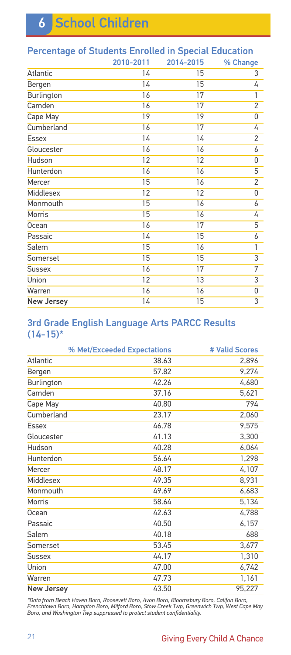| Percentage of Students Enrolled in Special Education |           |           |                |
|------------------------------------------------------|-----------|-----------|----------------|
|                                                      | 2010-2011 | 2014-2015 | % Change       |
| Atlantic                                             | 14        | 15        | 3              |
| Bergen                                               | 14        | 15        | 4              |
| Burlington                                           | 16        | 17        | 1              |
| Camden                                               | 16        | 17        | $\overline{2}$ |
| Cape May                                             | 19        | 19        | 0              |
| Cumberland                                           | 16        | 17        | 4              |
| <b>Essex</b>                                         | 14        | 14        | $\overline{c}$ |
| Gloucester                                           | 16        | 16        | 6              |
| Hudson                                               | 12        | 12        | 0              |
| Hunterdon                                            | 16        | 16        | 5              |
| Mercer                                               | 15        | 16        | $\overline{2}$ |
| Middlesex                                            | 12        | 12        | 0              |
| Monmouth                                             | 15        | 16        | 6              |
| Morris                                               | 15        | 16        | 4              |
| Ocean                                                | 16        | 17        | 5              |
| Passaic                                              | 14        | 15        | 6              |
| Salem                                                | 15        | 16        | 1              |
| Somerset                                             | 15        | 15        | $\overline{3}$ |
| <b>Sussex</b>                                        | 16        | 17        | 7              |
| Union                                                | 12        | 13        | 3              |
| Warren                                               | 16        | 16        | 0              |
| <b>New Jersey</b>                                    | 14        | 15        | 3              |
|                                                      |           |           |                |

#### Percentage of Students Enrolled in Special Education

#### 3rd Grade English Language Arts PARCC Results  $(14-15)^*$

|                   | % Met/Exceeded Expectations | # Valid Scores |
|-------------------|-----------------------------|----------------|
| <b>Atlantic</b>   | 38.63                       | 2,896          |
| Bergen            | 57.82                       | 9,274          |
| Burlington        | 42.26                       | 4,680          |
| Camden            | 37.16                       | 5,621          |
| Cape May          | 40.80                       | 794            |
| Cumberland        | 23.17                       | 2,060          |
| Essex             | 46.78                       | 9,575          |
| Gloucester        | 41.13                       | 3,300          |
| Hudson            | 40.28                       | 6,064          |
| Hunterdon         | 56.64                       | 1,298          |
| Mercer            | 48.17                       | 4,107          |
| Middlesex         | 49.35                       | 8,931          |
| Monmouth          | 49.69                       | 6,683          |
| Morris            | 58.64                       | 5,134          |
| Ocean             | 42.63                       | 4,788          |
| Passaic           | 40.50                       | 6,157          |
| Salem             | 40.18                       | 688            |
| Somerset          | 53.45                       | 3,677          |
| <b>Sussex</b>     | 44.17                       | 1,310          |
| Union             | 47.00                       | 6,742          |
| Warren            | 47.73                       | 1,161          |
| <b>New Jersey</b> | 43.50                       | 95,227         |

\*Data from Beach Haven Boro, Roosevelt Boro, Avon Boro, Bloomsbury Boro, Califon Boro,<br>Frenchtown Boro, Hampton Boro, Milford Boro, Stow Creek Twp, Greenwich Twp, West Cape May<br>Boro, and Washington Twp suppressed to protec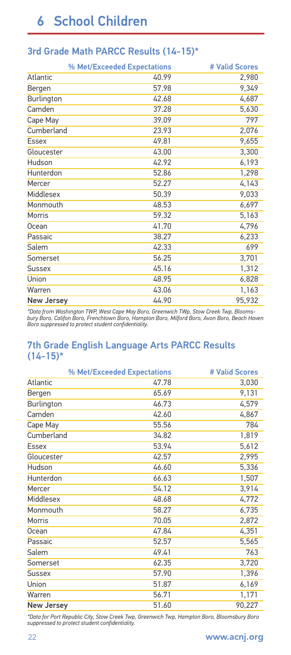|  |  |  |  | 3rd Grade Math PARCC Results (14-15)* |  |  |
|--|--|--|--|---------------------------------------|--|--|
|--|--|--|--|---------------------------------------|--|--|

| % Met/Exceeded Expectations | # Valid Scores |
|-----------------------------|----------------|
| 40.99                       | 2,980          |
| 57.98                       | 9,349          |
| 42.68                       | 4,687          |
| 37.28                       | 5,630          |
| 39.09                       | 797            |
| Cumberland<br>23.93         | 2,076          |
| 49.81                       | 9,655          |
| 43.00                       | 3,300          |
| 42.92                       | 6,193          |
| 52.86                       | 1,298          |
| 52.27                       | 4,143          |
| 50.39                       | 9,033          |
| 48.53                       | 6,697          |
| 59.32                       | 5,163          |
| 41.70                       | 4,796          |
| 38.27                       | 6,233          |
| 42.33                       | 699            |
| 56.25                       | 3,701          |
| 45.16                       | 1,312          |
| 48.95                       | 6,828          |
| 43.06                       | 1,163          |
| 44.90<br><b>New Jersey</b>  | 95,932         |
|                             |                |

\*Data from Washington TWP, West Cape May Boro, Greenwich TWp, Stow Creek Twp, Blooms-<br>bury Boro, Califon Boro, Frenchtown Boro, Hampton Boro, Milford Boro, Avon Boro, Beach Haven<br>Boro suppressed to protect student confiden

#### 7th Grade English Language Arts PARCC Results  $(14-15)^*$

|                   | % Met/Exceeded Expectations | # Valid Scores |
|-------------------|-----------------------------|----------------|
| Atlantic          | 47.78                       | 3,030          |
| Bergen            | 65.69                       | 9,131          |
| Burlington        | 46.73                       | 4,579          |
| Camden            | 42.60                       | 4,867          |
| Cape May          | 55.56                       | 784            |
| Cumberland        | 34.82                       | 1,819          |
| Essex             | 53.94                       | 5,612          |
| Gloucester        | 42.57                       | 2,995          |
| Hudson            | 46.60                       | 5,336          |
| Hunterdon         | 66.63                       | 1,507          |
| Mercer            | 54.12                       | 3,914          |
| Middlesex         | 48.68                       | 4,772          |
| Monmouth          | 58.27                       | 6,735          |
| Morris            | 70.05                       | 2,872          |
| Ocean             | 47.84                       | 4,351          |
| Passaic           | 52.57                       | 5,565          |
| Salem             | 49.41                       | 763            |
| Somerset          | 62.35                       | 3,720          |
| <b>Sussex</b>     | 57.90                       | 1,396          |
| Union             | 51.87                       | 6,169          |
| Warren            | 56.71                       | 1,171          |
| <b>New Jersey</b> | 51.60                       | 90,227         |

*\*Data for Port Republic City, Stow Creek Twp, Greenwich Twp, Hampton Boro, Bloomsbury Boro suppressed to protect student confidentiality.*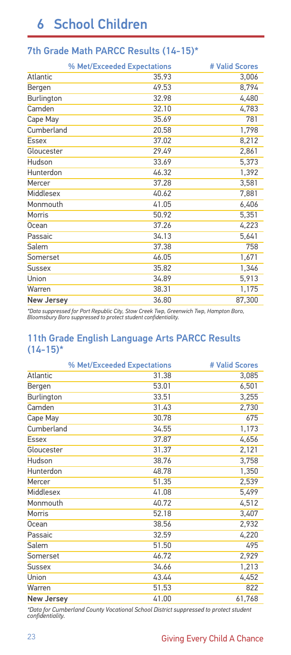### 7th Grade Math PARCC Results (14-15)\*

|                   | % Met/Exceeded Expectations | # Valid Scores |
|-------------------|-----------------------------|----------------|
| Atlantic          | 35.93                       | 3,006          |
| Bergen            | 49.53                       | 8,794          |
| Burlington        | 32.98                       | 4,480          |
| Camden            | 32.10                       | 4,783          |
| Cape May          | 35.69                       | 781            |
| Cumberland        | 20.58                       | 1,798          |
| Essex             | 37.02                       | 8,212          |
| Gloucester        | 29.49                       | 2,861          |
| Hudson            | 33.69                       | 5,373          |
| Hunterdon         | 46.32                       | 1,392          |
| Mercer            | 37.28                       | 3,581          |
| Middlesex         | 40.62                       | 7,881          |
| Monmouth          | 41.05                       | 6,406          |
| Morris            | 50.92                       | 5,351          |
| Ocean             | 37.26                       | 4,223          |
| Passaic           | 34.13                       | 5,641          |
| Salem             | 37.38                       | 758            |
| Somerset          | 46.05                       | 1,671          |
| <b>Sussex</b>     | 35.82                       | 1,346          |
| Union             | 34.89                       | 5,913          |
| Warren            | 38.31                       | 1,175          |
| <b>New Jersey</b> | 36.80                       | 87,300         |

*\*Data suppressed for Port Republic City, Stow Creek Twp, Greenwich Twp, Hampton Boro, Bloomsbury Boro suppressed to protect student confidentiality.*

#### 11th Grade English Language Arts PARCC Results  $(14-15)^*$

|                   | % Met/Exceeded Expectations | # Valid Scores |
|-------------------|-----------------------------|----------------|
| Atlantic          | 31.38                       | 3,085          |
| Bergen            | 53.01                       | 6,501          |
| Burlington        | 33.51                       | 3,255          |
| Camden            | 31.43                       | 2,730          |
| Cape May          | 30.78                       | 675            |
| Cumberland        | 34.55                       | 1,173          |
| Essex             | 37.87                       | 4,656          |
| Gloucester        | 31.37                       | 2,121          |
| Hudson            | 38.76                       | 3,758          |
| Hunterdon         | 48.78                       | 1,350          |
| Mercer            | 51.35                       | 2,539          |
| Middlesex         | 41.08                       | 5,499          |
| Monmouth          | 40.72                       | 4,512          |
| Morris            | 52.18                       | 3,407          |
| Ocean             | 38.56                       | 2,932          |
| Passaic           | 32.59                       | 4,220          |
| Salem             | 51.50                       | 495            |
| Somerset          | 46.72                       | 2,929          |
| <b>Sussex</b>     | 34.66                       | 1,213          |
| Union             | 43.44                       | 4,452          |
| Warren            | 51.53                       | 822            |
| <b>New Jersey</b> | 41.00                       | 61,768         |

*\*Data for Cumberland County Vocational School District suppressed to protect student confidentiality.*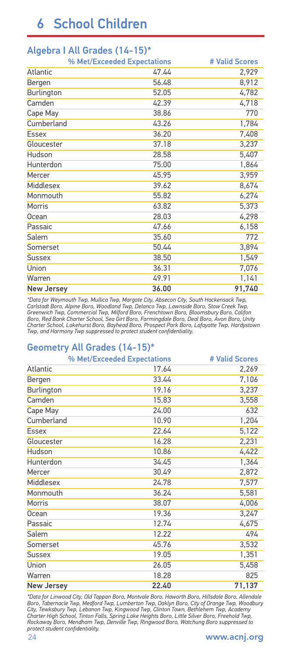|                   | % Met/Exceeded Expectations | # Valid Scores |
|-------------------|-----------------------------|----------------|
| Atlantic          | 47.44                       | 2,929          |
| Bergen            | 56.48                       | 8,912          |
| Burlington        | 52.05                       | 4,782          |
| Camden            | 42.39                       | 4,718          |
| Cape May          | 38.86                       | 770            |
| Cumberland        | 43.26                       | 1,784          |
| <b>Essex</b>      | 36.20                       | 7,408          |
| Gloucester        | 37.18                       | 3,237          |
| Hudson            | 28.58                       | 5,407          |
| Hunterdon         | 75.00                       | 1,864          |
| Mercer            | 45.95                       | 3,959          |
| Middlesex         | 39.62                       | 8,674          |
| Monmouth          | 55.82                       | 6,274          |
| Morris            | 63.82                       | 5,373          |
| Ocean             | 28.03                       | 4,298          |
| Passaic           | 47.66                       | 6,158          |
| Salem             | 35.60                       | 772            |
| Somerset          | 50.44                       | 3,894          |
| <b>Sussex</b>     | 38.50                       | 1,549          |
| Union             | 36.31                       | 7,076          |
| Warren            | 49.91                       | 1,141          |
| <b>New Jersey</b> | 36.00                       | 91,740         |

#### Algebra I All Grades (14-15)\*

\*Data for Weymouth Twp, Mullica Twp, Margate City, Absecon City, South Hackensack Twp,<br>Carlstadt Boro, Alpine Boro, Woodland Twp, Delanco Twp, Lawnside Boro, Stow Creek Twp,<br>Greenwich Twp, Commercial Twp, Mifjord Boro, Fre *Charter School, Lakehurst Boro, Bayhead Boro, Prospect Park Boro, Lafayatte Twp, Hardystown Twp, and Harmony Twp suppressed to protect student confidentiality.*

#### Geometry All Grades (14-15)\*

|                   | % Met/Exceeded Expectations | # Valid Scores |
|-------------------|-----------------------------|----------------|
| Atlantic          | 17.64                       | 2,269          |
| Bergen            | 33.44                       | 7,106          |
| Burlington        | 19.16                       | 3,237          |
| Camden            | 15.83                       | 3,558          |
| Cape May          | 24.00                       | 632            |
| Cumberland        | 10.90                       | 1,204          |
| <b>Essex</b>      | 22.64                       | 5,122          |
| Gloucester        | 16.28                       | 2,231          |
| Hudson            | 10.86                       | 4,422          |
| Hunterdon         | 34.45                       | 1,364          |
| Mercer            | 30.49                       | 2,872          |
| <b>Middlesex</b>  | 24.78                       | 7,577          |
| Monmouth          | 36.24                       | 5,581          |
| Morris            | 38.07                       | 4,006          |
| Ocean             | 19.36                       | 3,247          |
| Passaic           | 12.74                       | 4,675          |
| Salem             | 12.22                       | 494            |
| Somerset          | 45.76                       | 3,532          |
| <b>Sussex</b>     | 19.05                       | 1,351          |
| Union             | 26.05                       | 5,458          |
| Warren            | 18.28                       | 825            |
| <b>New Jersey</b> | 22.40                       | 71,137         |

\*Data for Linwood City, Old Tappan Boro, Montvale Boro, Haworth Boro, Hillsdale Boro, Allendale<br>Boro, Tabernacle Twp, Medford Twp, Lumberton Twp, Oaklyn Boro, City of Orange Twp, Woodbury<br>City, Tewksbury Twp, Lebanon Twp, *Rockaway Boro, Mendham Twp, Denville Twp, Ringwood Boro, Watchung Boro suppressed to protect student confidentiality.*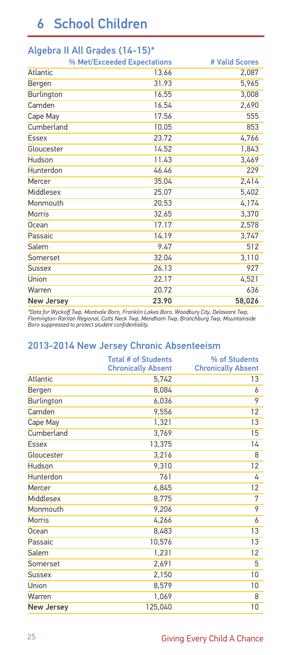| $1.19$ can a 11 $1.11$ can be a second $1.1$ | % Met/Exceeded Expectations | # Valid Scores |
|----------------------------------------------|-----------------------------|----------------|
| Atlantic                                     | 13.66                       | 2,087          |
| Bergen                                       | 31.93                       | 5,965          |
| Burlington                                   | 16.55                       | 3,008          |
| Camden                                       | 16.54                       | 2,690          |
| Cape May                                     | 17.56                       | 555            |
| Cumberland                                   | 10.05                       | 853            |
| Essex                                        | 23.72                       | 4,766          |
| Gloucester                                   | 14.52                       | 1,843          |
| Hudson                                       | 11.43                       | 3,469          |
| Hunterdon                                    | 46.46                       | 229            |
| Mercer                                       | 35.04                       | 2,414          |
| Middlesex                                    | 25.07                       | 5,402          |
| Monmouth                                     | 20.53                       | 4,174          |
| Morris                                       | 32.65                       | 3,370          |
| Ocean                                        | 17.17                       | 2,578          |
| Passaic                                      | 14.19                       | 3,747          |
| Salem                                        | 9.47                        | 512            |
| Somerset                                     | 32.04                       | 3,110          |
| <b>Sussex</b>                                | 26.13                       | 927            |
| Union                                        | 22.17                       | 4,521          |
| Warren                                       | 20.72                       | 636            |
| <b>New Jersey</b>                            | 23.90                       | 58,026         |
|                                              |                             |                |

#### Algebra II All Grades (14-15)\*

\*Data for Wyckoff Twp, Montvale Boro, Franklin Lakes Boro, Woodbury City, Delaware Twp,<br>Flemington-Raritan Regional, Colts Neck Twp, Mendham Twp, Branchburg Twp, Mountainside<br>Boro suppressed to protect student confidential

#### 2013-2014 New Jersey Chronic Absenteeism

|                   | <b>Total # of Students</b> | % of Students             |
|-------------------|----------------------------|---------------------------|
|                   | <b>Chronically Absent</b>  | <b>Chronically Absent</b> |
| Atlantic          | 5,742                      | 13                        |
| Bergen            | 8,084                      | 6                         |
| Burlington        | 6,036                      | 9                         |
| Camden            | 9,556                      | 12                        |
| Cape May          | 1,321                      | 13                        |
| Cumberland        | 3,769                      | 15                        |
| Essex             | 13,375                     | 14                        |
| Gloucester        | 3,216                      | 8                         |
| Hudson            | 9,310                      | 12                        |
| Hunterdon         | 761                        | 4                         |
| Mercer            | 6,845                      | 12                        |
| Middlesex         | 8,775                      | 7                         |
| Monmouth          | 9,206                      | 9                         |
| Morris            | 4,266                      | 6                         |
| Ocean             | 8,483                      | 13                        |
| Passaic           | 10,576                     | 13                        |
| Salem             | 1,231                      | 12                        |
| Somerset          | 2,691                      | 5                         |
| <b>Sussex</b>     | 2,150                      | 10                        |
| Union             | 8,579                      | 10                        |
| Warren            | 1,069                      | 8                         |
| <b>New Jersey</b> | 125,040                    | 10                        |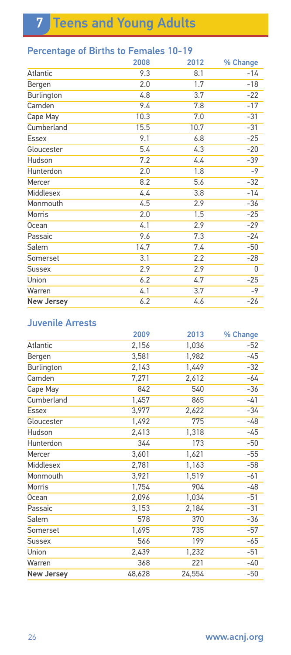7 Teens and Young Adults

### Percentage of Births to Females 10-19

|                   | 2008 | 2012 | % Change |
|-------------------|------|------|----------|
| Atlantic          | 9.3  | 8.1  | $-14$    |
| Bergen            | 2.0  | 1.7  | $-18$    |
| Burlington        | 4.8  | 3.7  | $-22$    |
| Camden            | 9.4  | 7.8  | $-17$    |
| Cape May          | 10.3 | 7.0  | $-31$    |
| Cumberland        | 15.5 | 10.7 | $-31$    |
| <b>Essex</b>      | 9.1  | 6.8  | $-25$    |
| Gloucester        | 5.4  | 4.3  | $-20$    |
| Hudson            | 7.2  | 4.4  | $-39$    |
| Hunterdon         | 2.0  | 1.8  | $-9$     |
| Mercer            | 8.2  | 5.6  | $-32$    |
| Middlesex         | 4.4  | 3.8  | -14      |
| Monmouth          | 4.5  | 2.9  | $-36$    |
| Morris            | 2.0  | 1.5  | $-25$    |
| <b>Ocean</b>      | 4.1  | 2.9  | $-29$    |
| Passaic           | 9.6  | 7.3  | $-24$    |
| Salem             | 14.7 | 7.4  | $-50$    |
| Somerset          | 3.1  | 2.2  | $-28$    |
| <b>Sussex</b>     | 2.9  | 2.9  | 0        |
| Union             | 6.2  | 4.7  | $-25$    |
| Warren            | 4.1  | 3.7  | -9       |
| <b>New Jersey</b> | 6.2  | 4.6  | $-26$    |

### Juvenile Arrests

|                   | 2009   | 2013   | % Change |
|-------------------|--------|--------|----------|
| Atlantic          | 2,156  | 1,036  | $-52$    |
| Bergen            | 3,581  | 1,982  | -45      |
| Burlington        | 2,143  | 1,449  | $-32$    |
| Camden            | 7,271  | 2,612  | -64      |
| Cape May          | 842    | 540    | $-36$    |
| Cumberland        | 1,457  | 865    | -41      |
| <b>Essex</b>      | 3,977  | 2,622  | -34      |
| Gloucester        | 1,492  | 775    | -48      |
| Hudson            | 2,413  | 1,318  | -45      |
| Hunterdon         | 344    | 173    | $-50$    |
| Mercer            | 3,601  | 1,621  | $-55$    |
| Middlesex         | 2,781  | 1,163  | $-58$    |
| Monmouth          | 3,921  | 1,519  | $-61$    |
| Morris            | 1,754  | 904    | -48      |
| Ocean             | 2,096  | 1,034  | $-51$    |
| Passaic           | 3,153  | 2,184  | $-31$    |
| Salem             | 578    | 370    | $-36$    |
| Somerset          | 1,695  | 735    | $-57$    |
| <b>Sussex</b>     | 566    | 199    | $-65$    |
| Union             | 2,439  | 1,232  | $-51$    |
| Warren            | 368    | 221    | -40      |
| <b>New Jersey</b> | 48,628 | 24,554 | -50      |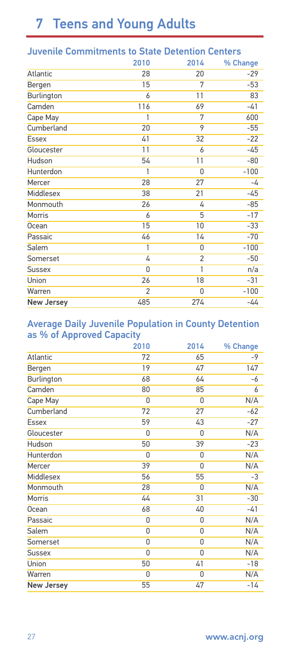# 7 Teens and Young Adults

| JUVENILE COMMITTENTIUS TO STATE DETENTION CENTERS |                |                |          |  |  |
|---------------------------------------------------|----------------|----------------|----------|--|--|
|                                                   | 2010           | 2014           | % Change |  |  |
| Atlantic                                          | 28             | 20             | $-29$    |  |  |
| Bergen                                            | 15             | 7              | $-53$    |  |  |
| Burlington                                        | 6              | 11             | 83       |  |  |
| Camden                                            | 116            | 69             | $-41$    |  |  |
| Cape May                                          | 1              | 7              | 600      |  |  |
| Cumberland                                        | 20             | 9              | $-55$    |  |  |
| Essex                                             | 41             | 32             | $-22$    |  |  |
| Gloucester                                        | 11             | 6              | $-45$    |  |  |
| Hudson                                            | 54             | 11             | $-80$    |  |  |
| Hunterdon                                         | 1              | 0              | $-100$   |  |  |
| Mercer                                            | 28             | 27             | -4       |  |  |
| Middlesex                                         | 38             | 21             | $-45$    |  |  |
| Monmouth                                          | 26             | 4              | $-85$    |  |  |
| Morris                                            | 6              | 5              | $-17$    |  |  |
| Ocean                                             | 15             | 10             | $-33$    |  |  |
| Passaic                                           | 46             | 14             | $-70$    |  |  |
| Salem                                             | 1              | $\Omega$       | $-100$   |  |  |
| Somerset                                          | 4              | $\overline{2}$ | $-50$    |  |  |
| <b>Sussex</b>                                     | 0              | 1              | n/a      |  |  |
| Union                                             | 26             | 18             | $-31$    |  |  |
| Warren                                            | $\overline{2}$ | 0              | $-100$   |  |  |
| <b>New Jersey</b>                                 | 485            | 274            | -44      |  |  |
|                                                   |                |                |          |  |  |

### Juvenile Commitments to State Detention Centers

#### Average Daily Juvenile Population in County Detention as % of Approved Capacity

|                   | 2010 | 2014     | % Change |
|-------------------|------|----------|----------|
| <b>Atlantic</b>   | 72   | 65       | $-9$     |
| Bergen            | 19   | 47       | 147      |
| Burlington        | 68   | 64       | -6       |
| Camden            | 80   | 85       | 6        |
| Cape May          | 0    | 0        | N/A      |
| Cumberland        | 72   | 27       | $-62$    |
| Essex             | 59   | 43       | $-27$    |
| Gloucester        | 0    | $\Omega$ | N/A      |
| Hudson            | 50   | 39       | $-23$    |
| Hunterdon         | 0    | 0        | N/A      |
| Mercer            | 39   | 0        | N/A      |
| Middlesex         | 56   | 55       | -3       |
| Monmouth          | 28   | 0        | N/A      |
| Morris            | 44   | 31       | $-30$    |
| <b>Ocean</b>      | 68   | 40       | $-41$    |
| Passaic           | 0    | $\Omega$ | N/A      |
| Salem             | 0    | 0        | N/A      |
| Somerset          | 0    | 0        | N/A      |
| <b>Sussex</b>     | 0    | 0        | N/A      |
| Union             | 50   | 41       | $-18$    |
| Warren            | 0    | 0        | N/A      |
| <b>New Jersey</b> | 55   | 47       | -14      |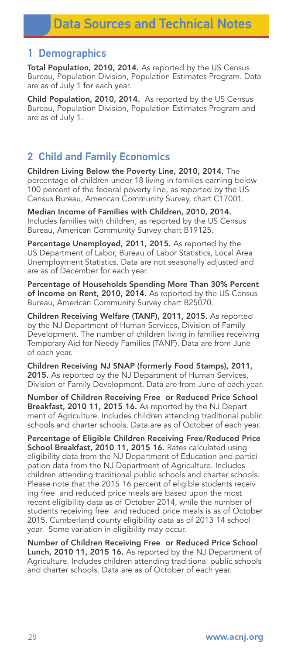#### 1 Demographics

Total Population, 2010, 2014. As reported by the US Census Bureau, Population Division, Population Estimates Program. Data are as of July 1 for each year.

Child Population, 2010, 2014. As reported by the US Census Bureau, Population Division, Population Estimates Program and are as of July 1.

### 2 Child and Family Economics

Children Living Below the Poverty Line, 2010, 2014. The percentage of children under 18 living in families earning below 100 percent of the federal poverty line, as reported by the US Census Bureau, American Community Survey, chart C17001.

Median Income of Families with Children, 2010, 2014. Includes families with children, as reported by the US Census Bureau, American Community Survey chart B19125.

Percentage Unemployed, 2011, 2015. As reported by the US Department of Labor, Bureau of Labor Statistics, Local Area Unemployment Statistics. Data are not seasonally adjusted and are as of December for each year.

Percentage of Households Spending More Than 30% Percent of Income on Rent, 2010, 2014. As reported by the US Census Bureau, American Community Survey chart B25070.

Children Receiving Welfare (TANF), 2011, 2015. As reported by the NJ Department of Human Services, Division of Family Development. The number of children living in families receiving Temporary Aid for Needy Families (TANF). Data are from June of each year.

Children Receiving NJ SNAP (formerly Food Stamps), 2011, 2015. As reported by the NJ Department of Human Services, Division of Family Development. Data are from June of each year.

Number of Children Receiving Free or Reduced Price School Breakfast, 2010 11, 2015 16. As reported by the NJ Depart ment of Agriculture. Includes children attending traditional public schools and charter schools. Data are as of October of each year.

Percentage of Eligible Children Receiving Free/Reduced Price School Breakfast, 2010 11, 2015 16. Rates calculated using eligibility data from the NJ Department of Education and partici pation data from the NJ Department of Agriculture. Includes children attending traditional public schools and charter schools. Please note that the 2015 16 percent of eligible students receiv ing free and reduced price meals are based upon the most recent eligibility data as of October 2014, while the number of students receiving free and reduced price meals is as of October 2015. Cumberland county eligibility data as of 2013 14 school year. Some variation in eligibility may occur.

Number of Children Receiving Free or Reduced Price School Lunch, 2010 11, 2015 16. As reported by the NJ Department of Agriculture. Includes children attending traditional public schools and charter schools. Data are as of October of each year.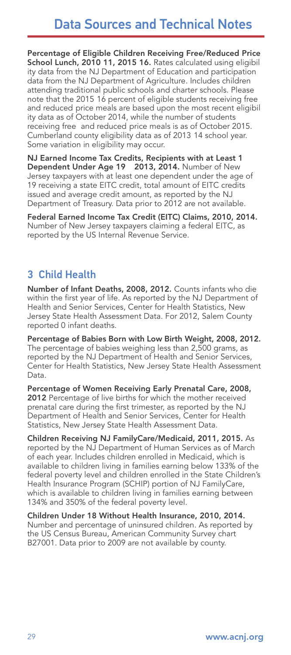Percentage of Eligible Children Receiving Free/Reduced Price School Lunch, 2010 11, 2015 16. Rates calculated using eligibil ity data from the NJ Department of Education and participation data from the NJ Department of Agriculture. Includes children attending traditional public schools and charter schools. Please note that the 2015 16 percent of eligible students receiving free and reduced price meals are based upon the most recent eligibil ity data as of October 2014, while the number of students receiving free and reduced price meals is as of October 2015. Cumberland county eligibility data as of 2013 14 school year. Some variation in eligibility may occur.

NJ Earned Income Tax Credits, Recipients with at Least 1 Dependent Under Age 19 2013, 2014. Number of New Jersey taxpayers with at least one dependent under the age of 19 receiving a state EITC credit, total amount of EITC credits issued and average credit amount, as reported by the NJ Department of Treasury. Data prior to 2012 are not available.

Federal Earned Income Tax Credit (EITC) Claims, 2010, 2014. Number of New Jersey taxpayers claiming a federal EITC, as reported by the US Internal Revenue Service.

### 3 Child Health

Number of Infant Deaths, 2008, 2012. Counts infants who die within the first year of life. As reported by the NJ Department of Health and Senior Services, Center for Health Statistics, New Jersey State Health Assessment Data. For 2012, Salem County reported 0 infant deaths.

Percentage of Babies Born with Low Birth Weight, 2008, 2012. The percentage of babies weighing less than 2,500 grams, as reported by the NJ Department of Health and Senior Services, Center for Health Statistics, New Jersey State Health Assessment Data.

Percentage of Women Receiving Early Prenatal Care, 2008, 2012 Percentage of live births for which the mother received prenatal care during the first trimester, as reported by the NJ Department of Health and Senior Services, Center for Health Statistics, New Jersey State Health Assessment Data.

Children Receiving NJ FamilyCare/Medicaid, 2011, 2015. As reported by the NJ Department of Human Services as of March of each year. Includes children enrolled in Medicaid, which is available to children living in families earning below 133% of the federal poverty level and children enrolled in the State Children's Health Insurance Program (SCHIP) portion of NJ FamilyCare, which is available to children living in families earning between 134% and 350% of the federal poverty level.

Children Under 18 Without Health Insurance, 2010, 2014. Number and percentage of uninsured children. As reported by the US Census Bureau, American Community Survey chart B27001. Data prior to 2009 are not available by county.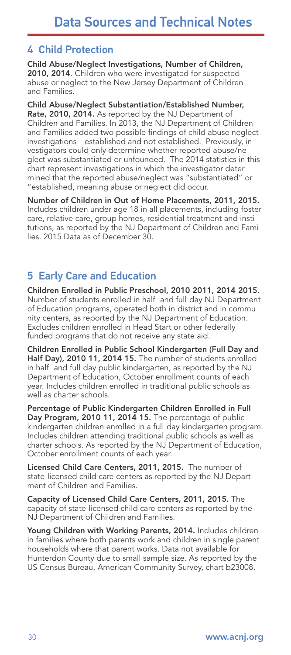### 4 Child Protection

Child Abuse/Neglect Investigations, Number of Children, 2010, 2014. Children who were investigated for suspected abuse or neglect to the New Jersey Department of Children and Families.

Child Abuse/Neglect Substantiation/Established Number, Rate, 2010, 2014. As reported by the NJ Department of Children and Families. In 2013, the NJ Department of Children and Families added two possible findings of child abuse neglect investigations established and not established. Previously, in vestigators could only determine whether reported abuse/ne glect was substantiated or unfounded. The 2014 statistics in this chart represent investigations in which the investigator deter mined that the reported abuse/neglect was "substantiated" or "established, meaning abuse or neglect did occur.

Number of Children in Out of Home Placements, 2011, 2015. Includes children under age 18 in all placements, including foster care, relative care, group homes, residential treatment and insti tutions, as reported by the NJ Department of Children and Fami lies. 2015 Data as of December 30.

### 5 Early Care and Education

Children Enrolled in Public Preschool, 2010 2011, 2014 2015. Number of students enrolled in half and full day NJ Department of Education programs, operated both in district and in commu nity centers, as reported by the NJ Department of Education. Excludes children enrolled in Head Start or other federally funded programs that do not receive any state aid.

Children Enrolled in Public School Kindergarten (Full Day and Half Day), 2010 11, 2014 15. The number of students enrolled in half and full day public kindergarten, as reported by the NJ Department of Education, October enrollment counts of each year. Includes children enrolled in traditional public schools as well as charter schools.

Percentage of Public Kindergarten Children Enrolled in Full Day Program, 2010 11, 2014 15. The percentage of public kindergarten children enrolled in a full day kindergarten program. Includes children attending traditional public schools as well as charter schools. As reported by the NJ Department of Education, October enrollment counts of each year.

Licensed Child Care Centers, 2011, 2015. The number of state licensed child care centers as reported by the NJ Depart ment of Children and Families.

Capacity of Licensed Child Care Centers, 2011, 2015. The capacity of state licensed child care centers as reported by the NJ Department of Children and Families.

Young Children with Working Parents, 2014. Includes children in families where both parents work and children in single parent households where that parent works. Data not available for Hunterdon County due to small sample size. As reported by the US Census Bureau, American Community Survey, chart b23008.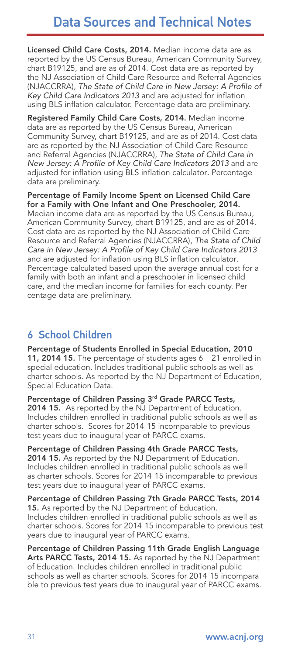# Data Sources and Technical Notes

Licensed Child Care Costs, 2014. Median income data are as reported by the US Census Bureau, American Community Survey, chart B19125, and are as of 2014. Cost data are as reported by the NJ Association of Child Care Resource and Referral Agencies (NJACCRRA), The State of Child Care in New Jersey: A Profile of Key Child Care Indicators 2013 and are adjusted for inflation using BLS inflation calculator. Percentage data are preliminary.

Registered Family Child Care Costs, 2014. Median income data are as reported by the US Census Bureau, American Community Survey, chart B19125, and are as of 2014. Cost data are as reported by the NJ Association of Child Care Resource and Referral Agencies (NJACCRRA), The State of Child Care in New Jersey: A Profile of Key Child Care Indicators 2013 and are adjusted for inflation using BLS inflation calculator. Percentage data are preliminary.

Percentage of Family Income Spent on Licensed Child Care for a Family with One Infant and One Preschooler, 2014. Median income data are as reported by the US Census Bureau, American Community Survey, chart B19125, and are as of 2014. Cost data are as reported by the NJ Association of Child Care Resource and Referral Agencies (NJACCRRA), The State of Child Care in New Jersey: A Profile of Key Child Care Indicators 2013 and are adjusted for inflation using BLS inflation calculator. Percentage calculated based upon the average annual cost for a family with both an infant and a preschooler in licensed child care, and the median income for families for each county. Per centage data are preliminary.

### 6 School Children

Percentage of Students Enrolled in Special Education, 2010 11, 2014 15. The percentage of students ages 6 21 enrolled in special education. Includes traditional public schools as well as charter schools. As reported by the NJ Department of Education, Special Education Data.

Percentage of Children Passing 3rd Grade PARCC Tests, 2014 15. As reported by the NJ Department of Education. Includes children enrolled in traditional public schools as well as charter schools. Scores for 2014 15 incomparable to previous test years due to inaugural year of PARCC exams.

Percentage of Children Passing 4th Grade PARCC Tests, 2014 15. As reported by the NJ Department of Education. Includes children enrolled in traditional public schools as well as charter schools. Scores for 2014 15 incomparable to previous test years due to inaugural year of PARCC exams.

Percentage of Children Passing 7th Grade PARCC Tests, 2014 15. As reported by the NJ Department of Education. Includes children enrolled in traditional public schools as well as charter schools. Scores for 2014 15 incomparable to previous test years due to inaugural year of PARCC exams.

Percentage of Children Passing 11th Grade English Language Arts PARCC Tests, 2014 15. As reported by the NJ Department of Education. Includes children enrolled in traditional public schools as well as charter schools. Scores for 2014 15 incompara ble to previous test years due to inaugural year of PARCC exams.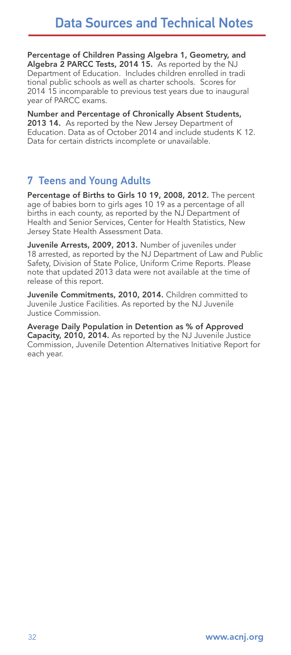Percentage of Children Passing Algebra 1, Geometry, and Algebra 2 PARCC Tests, 2014 15. As reported by the NJ Department of Education. Includes children enrolled in tradi tional public schools as well as charter schools. Scores for 2014 15 incomparable to previous test years due to inaugural year of PARCC exams.

Number and Percentage of Chronically Absent Students, 2013 14. As reported by the New Jersey Department of Education. Data as of October 2014 and include students K 12. Data for certain districts incomplete or unavailable.

### 7 Teens and Young Adults

Percentage of Births to Girls 10 19, 2008, 2012. The percent age of babies born to girls ages 10 19 as a percentage of all births in each county, as reported by the NJ Department of Health and Senior Services, Center for Health Statistics, New Jersey State Health Assessment Data.

Juvenile Arrests, 2009, 2013. Number of juveniles under 18 arrested, as reported by the NJ Department of Law and Public Safety, Division of State Police, Uniform Crime Reports. Please note that updated 2013 data were not available at the time of release of this report.

Juvenile Commitments, 2010, 2014. Children committed to Juvenile Justice Facilities. As reported by the NJ Juvenile Justice Commission.

Average Daily Population in Detention as % of Approved Capacity, 2010, 2014. As reported by the NJ Juvenile Justice Commission, Juvenile Detention Alternatives Initiative Report for each year.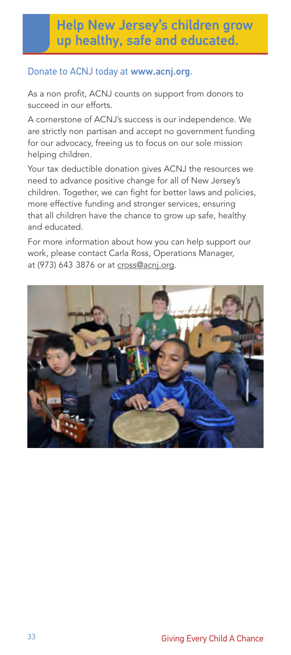# Help New Jersey's children grow up healthy, safe and educated.

#### Donate to ACNJ today at www.acnj.org.

As a non profit, ACNJ counts on support from donors to succeed in our efforts.

A cornerstone of ACNJ's success is our independence. We are strictly non partisan and accept no government funding for our advocacy, freeing us to focus on our sole mission helping children.

Your tax deductible donation gives ACNJ the resources we need to advance positive change for all of New Jersey's children. Together, we can fight for better laws and policies, more effective funding and stronger services, ensuring that all children have the chance to grow up safe, healthy and educated.

For more information about how you can help support our work, please contact Carla Ross, Operations Manager, at (973) 643 3876 or at cross@acnj.org.